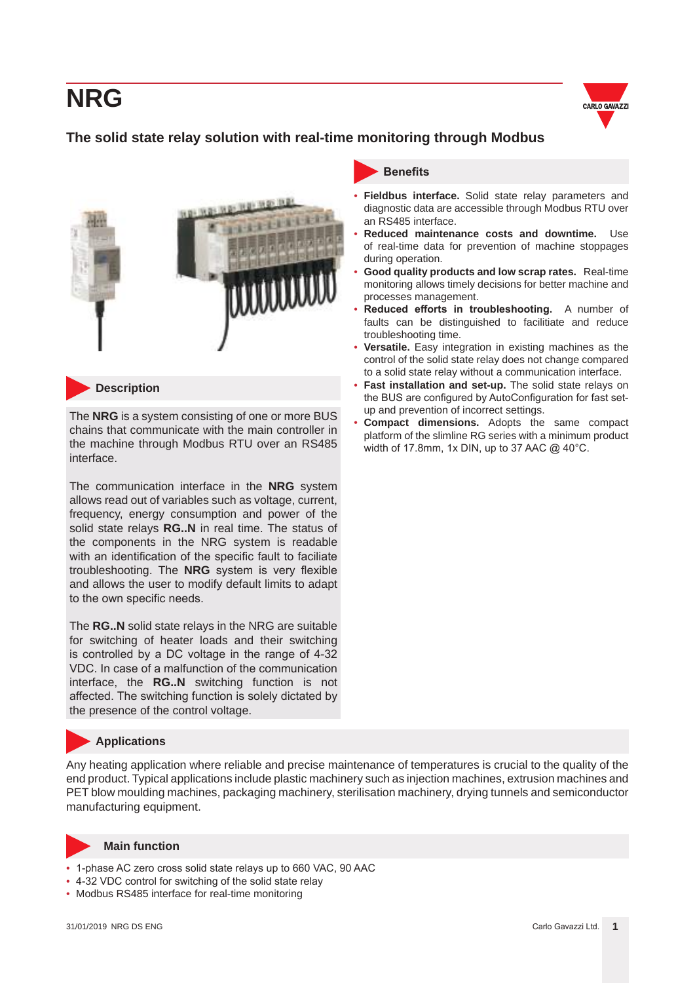

### **The solid state relay solution with real-time monitoring through Modbus**





**Description**

The **NRG** is a system consisting of one or more BUS chains that communicate with the main controller in the machine through Modbus RTU over an RS485 interface.

The communication interface in the **NRG** system allows read out of variables such as voltage, current, frequency, energy consumption and power of the solid state relays **RG..N** in real time. The status of the components in the NRG system is readable with an identification of the specific fault to faciliate troubleshooting. The **NRG** system is very flexible and allows the user to modify default limits to adapt to the own specific needs.

The **RG..N** solid state relays in the NRG are suitable for switching of heater loads and their switching is controlled by a DC voltage in the range of 4-32 VDC. In case of a malfunction of the communication interface, the **RG..N** switching function is not affected. The switching function is solely dictated by the presence of the control voltage.

### **Applications**

Any heating application where reliable and precise maintenance of temperatures is crucial to the quality of the end product. Typical applications include plastic machinery such as injection machines, extrusion machines and PET blow moulding machines, packaging machinery, sterilisation machinery, drying tunnels and semiconductor manufacturing equipment.



#### **Main function**

- 1-phase AC zero cross solid state relays up to 660 VAC, 90 AAC
- 4-32 VDC control for switching of the solid state relay
- Modbus RS485 interface for real-time monitoring



- **Fieldbus interface.** Solid state relay parameters and diagnostic data are accessible through Modbus RTU over an RS485 interface.
- **Reduced maintenance costs and downtime.** Use of real-time data for prevention of machine stoppages during operation.
- **Good quality products and low scrap rates.** Real-time monitoring allows timely decisions for better machine and processes management.
- **Reduced efforts in troubleshooting.** A number of faults can be distinguished to facilitiate and reduce troubleshooting time.
- **Versatile.** Easy integration in existing machines as the control of the solid state relay does not change compared to a solid state relay without a communication interface.
- **Fast installation and set-up.** The solid state relays on the BUS are configured by AutoConfiguration for fast setup and prevention of incorrect settings.
- **Compact dimensions.** Adopts the same compact platform of the slimline RG series with a minimum product width of 17.8mm, 1x DIN, up to 37 AAC @ 40°C.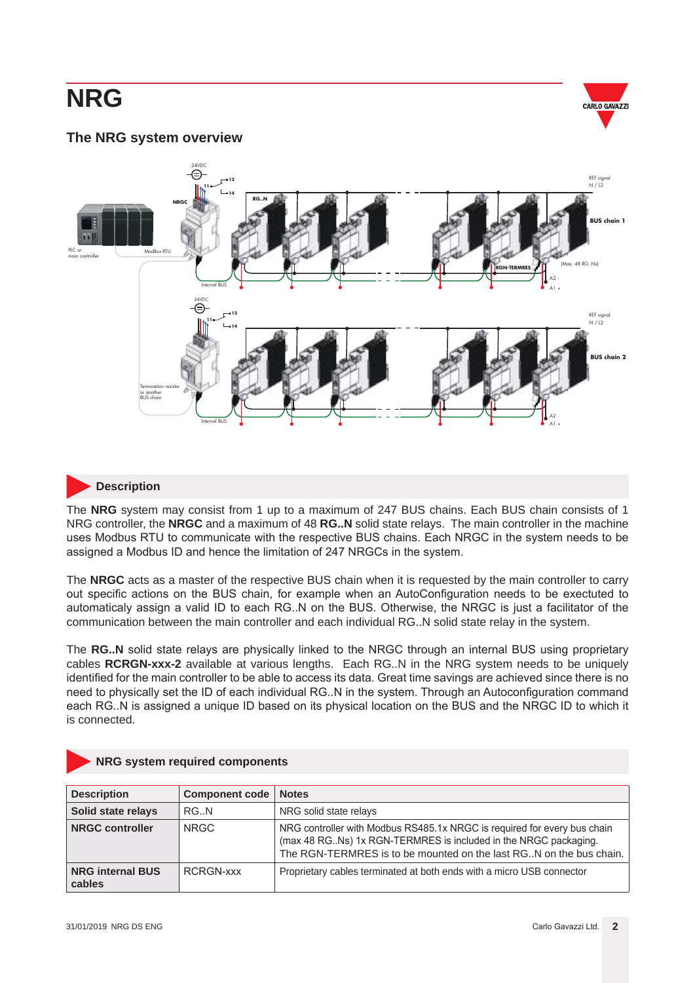

#### **The NRG system overview**



#### **Description**

The **NRG** system may consist from 1 up to a maximum of 247 BUS chains. Each BUS chain consists of 1 NRG controller, the **NRGC** and a maximum of 48 **RG..N** solid state relays. The main controller in the machine uses Modbus RTU to communicate with the respective BUS chains. Each NRGC in the system needs to be assigned a Modbus ID and hence the limitation of 247 NRGCs in the system.

The **NRGC** acts as a master of the respective BUS chain when it is requested by the main controller to carry out specific actions on the BUS chain, for example when an AutoConfiguration needs to be exectuted to automaticaly assign a valid ID to each RG..N on the BUS. Otherwise, the NRGC is just a facilitator of the communication between the main controller and each individual RG..N solid state relay in the system.

The **RG..N** solid state relays are physically linked to the NRGC through an internal BUS using proprietary cables **RCRGN-xxx-2** available at various lengths. Each RG..N in the NRG system needs to be uniquely identified for the main controller to be able to access its data. Great time savings are achieved since there is no need to physically set the ID of each individual RG..N in the system. Through an Autoconfiguration command each RG..N is assigned a unique ID based on its physical location on the BUS and the NRGC ID to which it is connected.

|  |  |  |  | <b>NRG system required components</b> |
|--|--|--|--|---------------------------------------|
|--|--|--|--|---------------------------------------|

| <b>Description</b>                | Component code | <b>Notes</b>                                                                                                                                                                                                      |
|-----------------------------------|----------------|-------------------------------------------------------------------------------------------------------------------------------------------------------------------------------------------------------------------|
| Solid state relays                | RG.N           | NRG solid state relays                                                                                                                                                                                            |
| <b>NRGC controller</b>            | NRGC.          | NRG controller with Modbus RS485.1x NRGC is required for every bus chain<br>(max 48 RGNs) 1x RGN-TERMRES is included in the NRGC packaging.<br>The RGN-TERMRES is to be mounted on the last RGN on the bus chain. |
| <b>NRG internal BUS</b><br>cables | RCRGN-XXX      | Proprietary cables terminated at both ends with a micro USB connector                                                                                                                                             |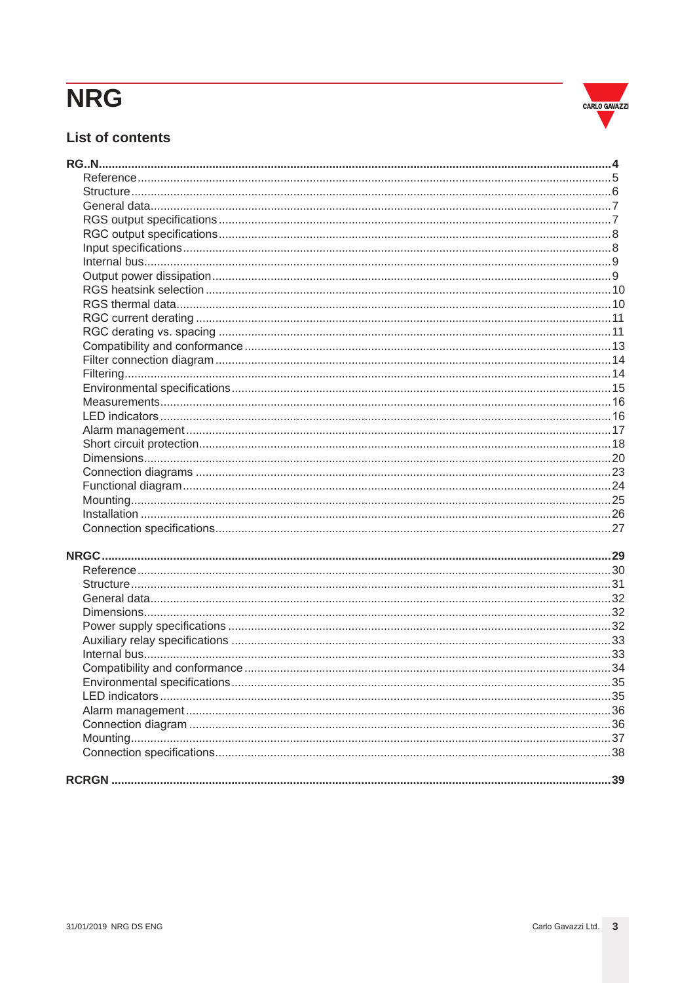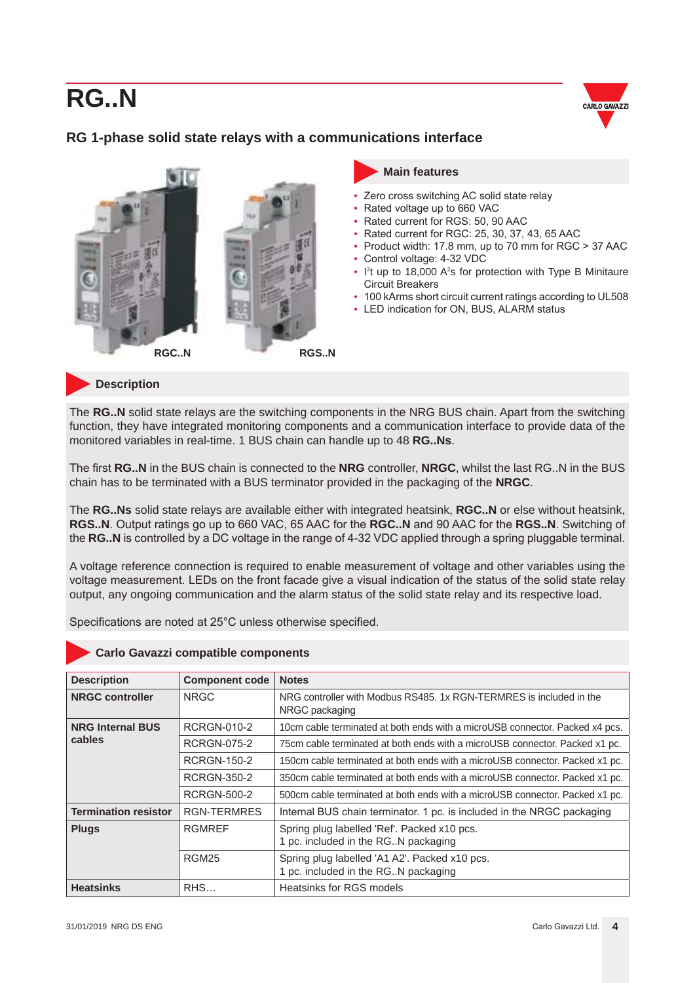

### <span id="page-3-0"></span>**RG 1-phase solid state relays with a communications interface**



#### **Main features**

- Zero cross switching AC solid state relay
- Rated voltage up to 660 VAC
- Rated current for RGS: 50, 90 AAC
- Rated current for RGC: 25, 30, 37, 43, 65 AAC
	- Product width: 17.8 mm, up to 70 mm for RGC > 37 AAC
- Control voltage: 4-32 VDC
- I<sup>2</sup>t up to 18,000 A<sup>2</sup>s for protection with Type B Minitaure Circuit Breakers
- 100 kArms short circuit current ratings according to UL508
- LED indication for ON, BUS, ALARM status

**Description**

The **RG..N** solid state relays are the switching components in the NRG BUS chain. Apart from the switching function, they have integrated monitoring components and a communication interface to provide data of the monitored variables in real-time. 1 BUS chain can handle up to 48 **RG..Ns**.

The first **RG..N** in the BUS chain is connected to the **NRG** controller, **NRGC**, whilst the last RG..N in the BUS chain has to be terminated with a BUS terminator provided in the packaging of the **NRGC**.

The **RG..Ns** solid state relays are available either with integrated heatsink, **RGC..N** or else without heatsink, **RGS..N**. Output ratings go up to 660 VAC, 65 AAC for the **RGC..N** and 90 AAC for the **RGS..N**. Switching of the **RG..N** is controlled by a DC voltage in the range of 4-32 VDC applied through a spring pluggable terminal.

A voltage reference connection is required to enable measurement of voltage and other variables using the voltage measurement. LEDs on the front facade give a visual indication of the status of the solid state relay output, any ongoing communication and the alarm status of the solid state relay and its respective load.

Specifications are noted at 25°C unless otherwise specified.

| <b>Description</b>          | <b>Component code</b> | <b>Notes</b>                                                                           |
|-----------------------------|-----------------------|----------------------------------------------------------------------------------------|
| <b>NRGC controller</b>      | <b>NRGC</b>           | NRG controller with Modbus RS485, 1x RGN-TERMRES is included in the<br>NRGC packaging  |
| <b>NRG Internal BUS</b>     | RCRGN-010-2           | 10cm cable terminated at both ends with a microUSB connector. Packed x4 pcs.           |
| cables                      | RCRGN-075-2           | 75cm cable terminated at both ends with a microUSB connector. Packed x1 pc.            |
|                             | RCRGN-150-2           | 150cm cable terminated at both ends with a microUSB connector. Packed x1 pc.           |
|                             | RCRGN-350-2           | 350cm cable terminated at both ends with a microUSB connector. Packed x1 pc.           |
|                             | RCRGN-500-2           | 500cm cable terminated at both ends with a microUSB connector. Packed x1 pc.           |
| <b>Termination resistor</b> | <b>RGN-TERMRES</b>    | Internal BUS chain terminator. 1 pc. is included in the NRGC packaging                 |
| <b>Plugs</b>                | <b>RGMREF</b>         | Spring plug labelled 'Ref'. Packed x10 pcs.<br>1 pc. included in the RG. N packaging   |
|                             | <b>RGM25</b>          | Spring plug labelled 'A1 A2'. Packed x10 pcs.<br>1 pc. included in the RG. N packaging |
| <b>Heatsinks</b>            | RHS                   | Heatsinks for RGS models                                                               |

#### **Carlo Gavazzi compatible components**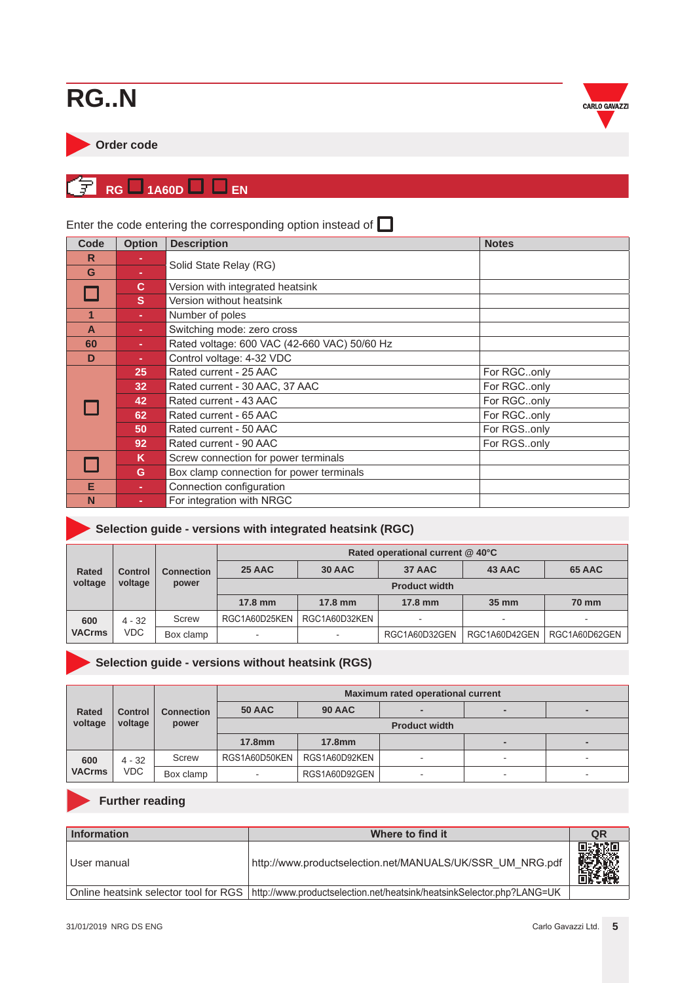<span id="page-4-0"></span>



#### **RG** 1A60D  $\Box$  EN ั¥l

| Code | <b>Option</b> | <b>Description</b>                           | <b>Notes</b> |
|------|---------------|----------------------------------------------|--------------|
| R    |               |                                              |              |
| G    |               | Solid State Relay (RG)                       |              |
|      | C.            | Version with integrated heatsink             |              |
|      | <sub>S</sub>  | Version without heatsink                     |              |
|      |               | Number of poles                              |              |
| A    |               | Switching mode: zero cross                   |              |
| 60   | $\sim$        | Rated voltage: 600 VAC (42-660 VAC) 50/60 Hz |              |
| D    | ÷             | Control voltage: 4-32 VDC                    |              |
|      | 25            | Rated current - 25 AAC                       | For RGConly  |
|      | 32            | Rated current - 30 AAC, 37 AAC               | For RGConly  |
|      | 42            | Rated current - 43 AAC                       | For RGConly  |
|      | 62            | Rated current - 65 AAC                       | For RGConly  |
|      | 50            | Rated current - 50 AAC                       | For RGSonly  |
|      | 92            | Rated current - 90 AAC                       | For RGSonly  |
|      | K.            | Screw connection for power terminals         |              |
|      | G             | Box clamp connection for power terminals     |              |
| Е    |               | Connection configuration                     |              |
| N    |               | For integration with NRGC                    |              |

### Enter the code entering the corresponding option instead of  $\Box$

| Selection guide - versions with integrated heatsink (RGC) |  |
|-----------------------------------------------------------|--|
|                                                           |  |

|               | <b>Control</b><br>voltage | <b>Connection</b><br>power | Rated operational current @ 40°C |                   |               |                          |               |
|---------------|---------------------------|----------------------------|----------------------------------|-------------------|---------------|--------------------------|---------------|
| <b>Rated</b>  |                           |                            | 25 AAC                           | 30 AAC            | 37 AAC        | 43 AAC                   | 65 AAC        |
| voltage       |                           |                            | <b>Product width</b>             |                   |               |                          |               |
|               |                           |                            | $17.8 \text{ mm}$                | $17.8 \text{ mm}$ | 17.8 mm       | 35 mm                    | <b>70 mm</b>  |
| 600           | $4 - 32$<br><b>VDC</b>    | Screw                      | RGC1A60D25KEN                    | RGC1A60D32KEN     |               | $\overline{\phantom{a}}$ |               |
| <b>VACrms</b> |                           | Box clamp                  | $\sim$                           | -                 | RGC1A60D32GEN | RGC1A60D42GEN            | RGC1A60D62GEN |

### **Selection guide - versions without heatsink (RGS)**

|               | <b>Control</b><br>voltage | <b>Connection</b><br>power | Maximum rated operational current |               |   |                          |    |
|---------------|---------------------------|----------------------------|-----------------------------------|---------------|---|--------------------------|----|
| <b>Rated</b>  |                           |                            | <b>50 AAC</b>                     | <b>90 AAC</b> |   |                          |    |
| voltage       |                           |                            | <b>Product width</b>              |               |   |                          |    |
|               |                           |                            | 17.8mm                            | <b>17.8mm</b> |   | $\overline{\phantom{0}}$ |    |
| 600           | $4 - 32$                  | Screw                      | RGS1A60D50KEN                     | RGS1A60D92KEN | - | ۰                        |    |
| <b>VACrms</b> | <b>VDC</b>                | Box clamp                  | $\overline{\phantom{a}}$          | RGS1A60D92GEN | ۰ | $\sim$                   | ۰. |

### **Further reading**

| Information                           | Where to find it                                                      | QR |
|---------------------------------------|-----------------------------------------------------------------------|----|
| l User manual                         | http://www.productselection.net/MANUALS/UK/SSR UM NRG.pdf             |    |
| Online heatsink selector tool for RGS | http://www.productselection.net/heatsink/heatsinkSelector.php?LANG=UK |    |

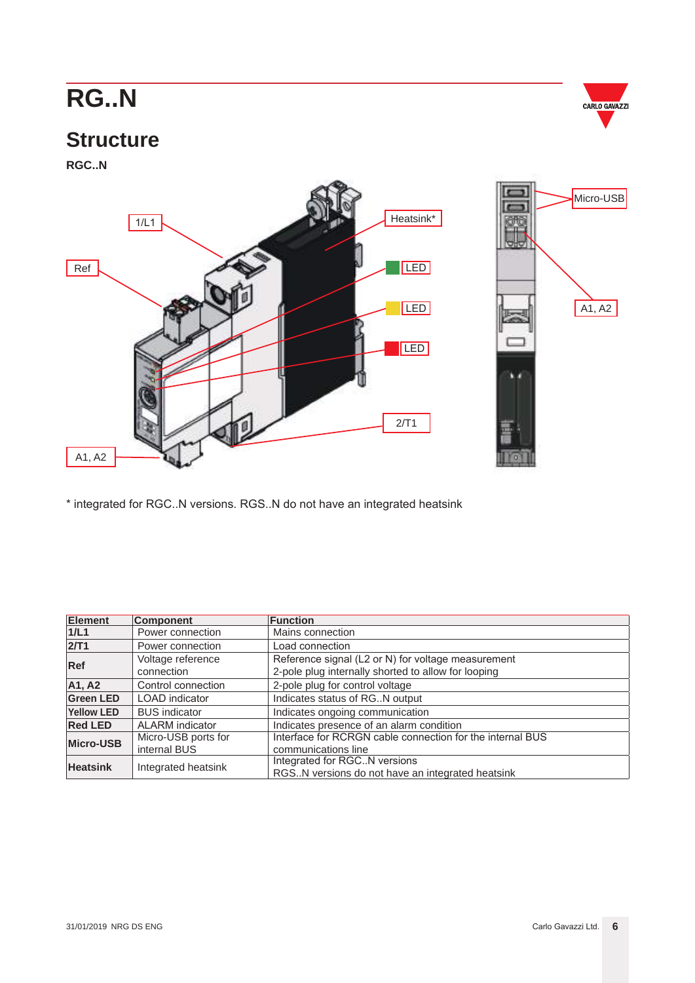

### <span id="page-5-0"></span>**Structure**

**RGC..N**



\* integrated for RGC..N versions. RGS..N do not have an integrated heatsink

| <b>Element</b>   | <b>Component</b>                                        | <b>Function</b>                                           |
|------------------|---------------------------------------------------------|-----------------------------------------------------------|
| 1/L1             | Power connection                                        | Mains connection                                          |
| 2/T1             | Power connection                                        | Load connection                                           |
| <b>Ref</b>       | Voltage reference                                       | Reference signal (L2 or N) for voltage measurement        |
|                  | connection                                              | 2-pole plug internally shorted to allow for looping       |
| A1, A2           | Control connection                                      | 2-pole plug for control voltage                           |
| <b>Green LED</b> | Indicates status of RGN output<br><b>LOAD</b> indicator |                                                           |
| Yellow LED       | <b>BUS</b> indicator                                    | Indicates ongoing communication                           |
| <b>Red LED</b>   | <b>ALARM</b> indicator                                  | Indicates presence of an alarm condition                  |
| Micro-USB        | Micro-USB ports for                                     | Interface for RCRGN cable connection for the internal BUS |
|                  | internal BUS                                            | communications line                                       |
| <b>Heatsink</b>  | Integrated heatsink                                     | Integrated for RGC. N versions                            |
|                  |                                                         | RGSN versions do not have an integrated heatsink          |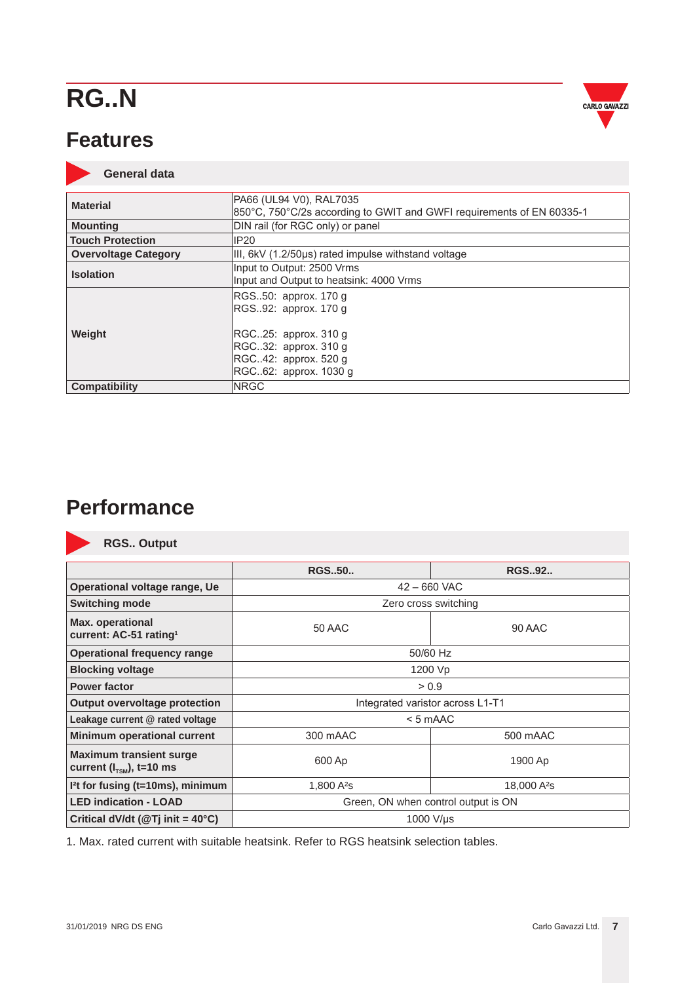<span id="page-6-0"></span>



|                             | PA66 (UL94 V0), RAL7035                                               |
|-----------------------------|-----------------------------------------------------------------------|
| <b>Material</b>             | 850°C, 750°C/2s according to GWIT and GWFI requirements of EN 60335-1 |
| <b>Mounting</b>             | DIN rail (for RGC only) or panel                                      |
| <b>Touch Protection</b>     | IP20                                                                  |
| <b>Overvoltage Category</b> | III, 6kV (1.2/50us) rated impulse withstand voltage                   |
| <b>Isolation</b>            | Input to Output: 2500 Vrms                                            |
|                             | Input and Output to heatsink: 4000 Vrms                               |
|                             | RGS50: approx. 170 g                                                  |
|                             | RGS92: approx. 170 g                                                  |
|                             |                                                                       |
| Weight                      | RGC25: approx. 310 g                                                  |
|                             | RGC32: approx. 310 g                                                  |
|                             | RGC42: approx. 520 g                                                  |
|                             | RGC62: approx. 1030 g                                                 |
| <b>Compatibility</b>        | <b>NRGC</b>                                                           |

### **Performance**



**RGS.. Output**

|                                                                        | <b>RGS50</b>                        | <b>RGS.,92</b>                   |  |
|------------------------------------------------------------------------|-------------------------------------|----------------------------------|--|
| Operational voltage range, Ue                                          |                                     | $42 - 660$ VAC                   |  |
| <b>Switching mode</b>                                                  |                                     | Zero cross switching             |  |
| <b>Max. operational</b><br>current: AC-51 rating <sup>1</sup>          | 50 AAC                              | 90 AAC                           |  |
| <b>Operational frequency range</b>                                     |                                     | 50/60 Hz                         |  |
| <b>Blocking voltage</b>                                                |                                     | 1200 Vp                          |  |
| <b>Power factor</b>                                                    |                                     | > 0.9                            |  |
| <b>Output overvoltage protection</b>                                   |                                     | Integrated varistor across L1-T1 |  |
| Leakage current @ rated voltage                                        |                                     | $< 5$ mAAC                       |  |
| <b>Minimum operational current</b>                                     | 300 mAAC                            | 500 mAAC                         |  |
| <b>Maximum transient surge</b><br>current $(l_{\text{tsM}})$ , t=10 ms | 600 Ap                              | 1900 Ap                          |  |
| I <sup>2</sup> t for fusing (t=10ms), minimum                          | 1,800A <sup>2</sup> S               | 18,000 A <sup>2</sup> s          |  |
| <b>LED indication - LOAD</b>                                           | Green, ON when control output is ON |                                  |  |
| Critical dV/dt ( $@Tj$ init = 40°C)<br>1000 V/µs                       |                                     |                                  |  |

1. Max. rated current with suitable heatsink. Refer to RGS heatsink selection tables.

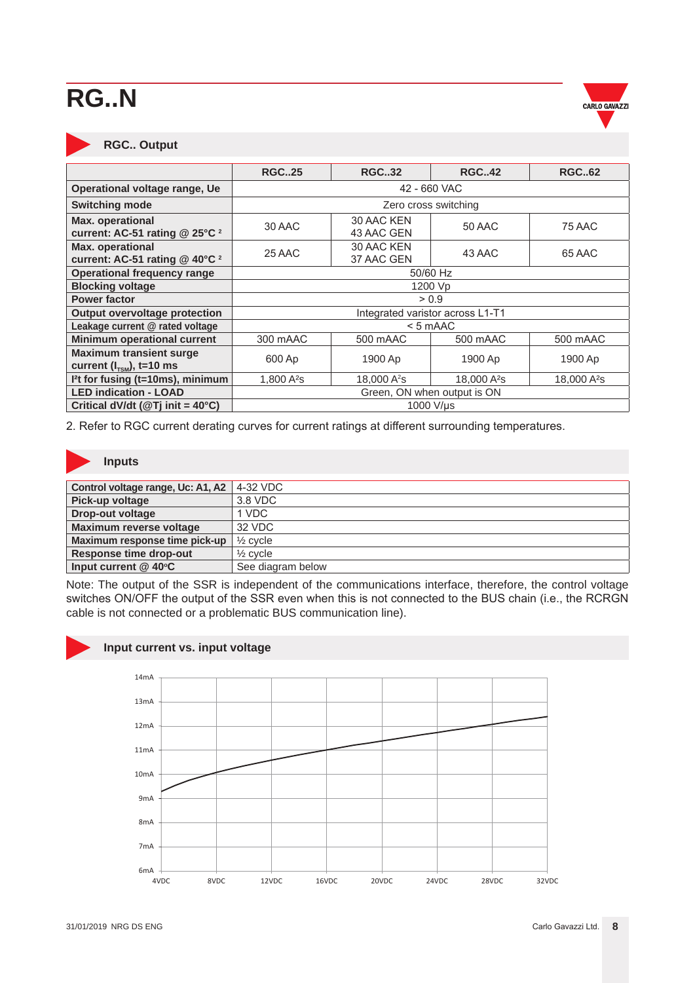

#### **RGC.. Output**

|                                                               | <b>RGC25</b>                     | <b>RGC32</b>                                 | <b>RGC42</b>            | <b>RGC62</b>            |  |  |  |
|---------------------------------------------------------------|----------------------------------|----------------------------------------------|-------------------------|-------------------------|--|--|--|
| Operational voltage range, Ue                                 | 42 - 660 VAC                     |                                              |                         |                         |  |  |  |
| <b>Switching mode</b>                                         |                                  | Zero cross switching                         |                         |                         |  |  |  |
| Max. operational<br>current: AC-51 rating @ 25°C <sup>2</sup> | 30 AAC                           | 30 AAC KEN<br>50 AAC<br>75 AAC<br>43 AAC GEN |                         |                         |  |  |  |
| Max. operational<br>current: AC-51 rating @ 40°C <sup>2</sup> | 25 AAC                           | 30 AAC KEN<br>37 AAC GEN                     | 43 AAC                  | 65 AAC                  |  |  |  |
| <b>Operational frequency range</b>                            | 50/60 Hz                         |                                              |                         |                         |  |  |  |
| <b>Blocking voltage</b>                                       | 1200 Vp                          |                                              |                         |                         |  |  |  |
| <b>Power factor</b>                                           | > 0.9                            |                                              |                         |                         |  |  |  |
| Output overvoltage protection                                 | Integrated varistor across L1-T1 |                                              |                         |                         |  |  |  |
| Leakage current @ rated voltage                               |                                  |                                              | $< 5$ mAAC              |                         |  |  |  |
| <b>Minimum operational current</b>                            | 300 mAAC                         | 500 mAAC                                     | 500 mAAC                | 500 mAAC                |  |  |  |
| <b>Maximum transient surge</b>                                | 600 Ap                           | 1900 Ap                                      | 1900 Ap                 | 1900 Ap                 |  |  |  |
| current $(l_{\text{tsM}})$ , t=10 ms                          |                                  |                                              |                         |                         |  |  |  |
| I <sup>2</sup> t for fusing (t=10ms), minimum                 | 1,800 A <sup>2</sup> s           | 18,000 A <sup>2</sup> s                      | 18,000 A <sup>2</sup> s | 18,000 A <sup>2</sup> s |  |  |  |
| <b>LED indication - LOAD</b>                                  | Green, ON when output is ON      |                                              |                         |                         |  |  |  |
| Critical dV/dt ( $@$ Tj init = 40°C)                          | 1000 V/µs                        |                                              |                         |                         |  |  |  |

2. Refer to RGC current derating curves for current ratings at different surrounding temperatures.

#### **Inputs**

| Control voltage range, Uc: A1, A2 | 4-32 VDC            |
|-----------------------------------|---------------------|
| Pick-up voltage                   | 3.8 VDC             |
| <b>Drop-out voltage</b>           | 1 VDC               |
| <b>Maximum reverse voltage</b>    | 32 VDC              |
| Maximum response time pick-up     | $\frac{1}{2}$ cycle |
| <b>Response time drop-out</b>     | $\frac{1}{2}$ cycle |
| Input current @ 40°C              | See diagram below   |

Note: The output of the SSR is independent of the communications interface, therefore, the control voltage switches ON/OFF the output of the SSR even when this is not connected to the BUS chain (i.e., the RCRGN cable is not connected or a problematic BUS communication line).

#### **Input current vs. input voltage**

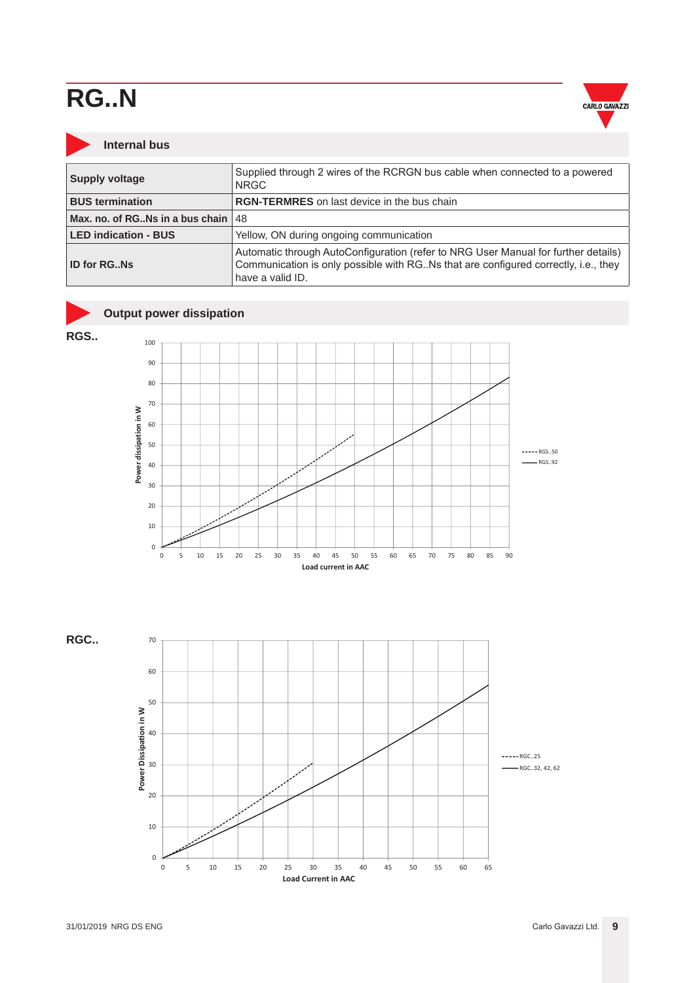

#### <span id="page-8-0"></span>**Internal bus**

| <b>Supply voltage</b>                    | Supplied through 2 wires of the RCRGN bus cable when connected to a powered<br><b>NRGC</b>                                                                                                     |  |  |  |
|------------------------------------------|------------------------------------------------------------------------------------------------------------------------------------------------------------------------------------------------|--|--|--|
| <b>BUS termination</b>                   | <b>RGN-TERMRES</b> on last device in the bus chain                                                                                                                                             |  |  |  |
| Max, no, of RG. Ns in a bus chain $ 48 $ |                                                                                                                                                                                                |  |  |  |
| <b>LED indication - BUS</b>              | Yellow, ON during ongoing communication                                                                                                                                                        |  |  |  |
| <b>ID for RGNs</b>                       | Automatic through AutoConfiguration (refer to NRG User Manual for further details)<br>Communication is only possible with RG. Ns that are configured correctly, i.e., they<br>have a valid ID. |  |  |  |

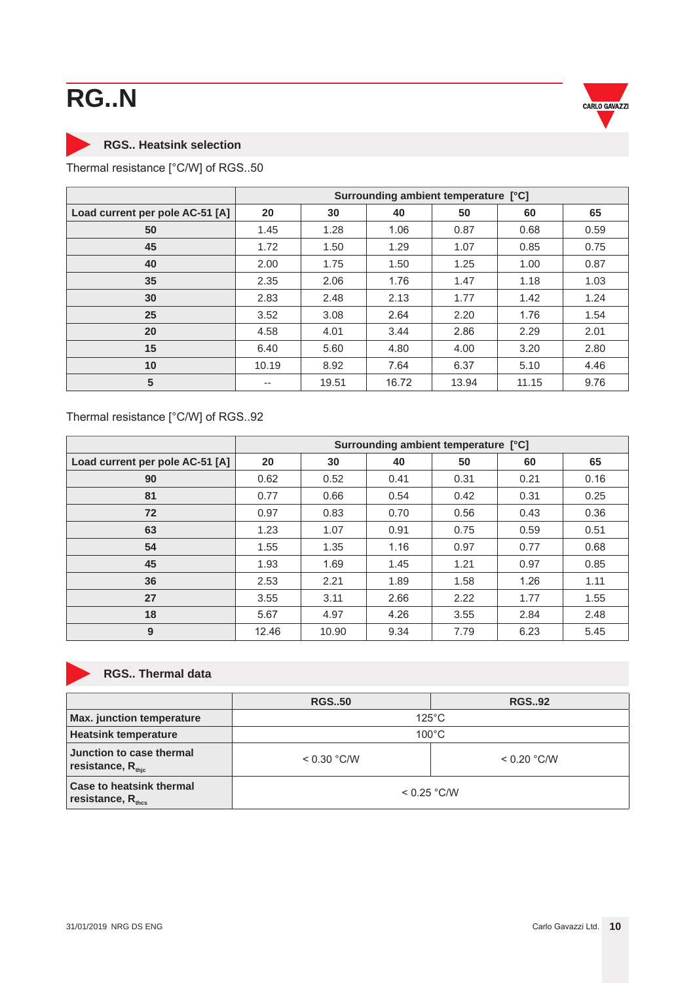

### <span id="page-9-0"></span>**RGS.. Heatsink selection**

Thermal resistance [°C/W] of RGS..50

|                                 | Surrounding ambient temperature [°C] |       |       |       |       |      |
|---------------------------------|--------------------------------------|-------|-------|-------|-------|------|
| Load current per pole AC-51 [A] | 20                                   | 30    | 40    | 50    | 60    | 65   |
| 50                              | 1.45                                 | 1.28  | 1.06  | 0.87  | 0.68  | 0.59 |
| 45                              | 1.72                                 | 1.50  | 1.29  | 1.07  | 0.85  | 0.75 |
| 40                              | 2.00                                 | 1.75  | 1.50  | 1.25  | 1.00  | 0.87 |
| 35                              | 2.35                                 | 2.06  | 1.76  | 1.47  | 1.18  | 1.03 |
| 30                              | 2.83                                 | 2.48  | 2.13  | 1.77  | 1.42  | 1.24 |
| 25                              | 3.52                                 | 3.08  | 2.64  | 2.20  | 1.76  | 1.54 |
| 20                              | 4.58                                 | 4.01  | 3.44  | 2.86  | 2.29  | 2.01 |
| 15                              | 6.40                                 | 5.60  | 4.80  | 4.00  | 3.20  | 2.80 |
| 10                              | 10.19                                | 8.92  | 7.64  | 6.37  | 5.10  | 4.46 |
| 5                               | $- -$                                | 19.51 | 16.72 | 13.94 | 11.15 | 9.76 |

#### Thermal resistance [°C/W] of RGS..92

|                                 | Surrounding ambient temperature [°C] |       |      |      |      |      |
|---------------------------------|--------------------------------------|-------|------|------|------|------|
| Load current per pole AC-51 [A] | 20                                   | 30    | 40   | 50   | 60   | 65   |
| 90                              | 0.62                                 | 0.52  | 0.41 | 0.31 | 0.21 | 0.16 |
| 81                              | 0.77                                 | 0.66  | 0.54 | 0.42 | 0.31 | 0.25 |
| 72                              | 0.97                                 | 0.83  | 0.70 | 0.56 | 0.43 | 0.36 |
| 63                              | 1.23                                 | 1.07  | 0.91 | 0.75 | 0.59 | 0.51 |
| 54                              | 1.55                                 | 1.35  | 1.16 | 0.97 | 0.77 | 0.68 |
| 45                              | 1.93                                 | 1.69  | 1.45 | 1.21 | 0.97 | 0.85 |
| 36                              | 2.53                                 | 2.21  | 1.89 | 1.58 | 1.26 | 1.11 |
| 27                              | 3.55                                 | 3.11  | 2.66 | 2.22 | 1.77 | 1.55 |
| 18                              | 5.67                                 | 4.97  | 4.26 | 3.55 | 2.84 | 2.48 |
| 9                               | 12.46                                | 10.90 | 9.34 | 7.79 | 6.23 | 5.45 |

#### **RGS.. Thermal data**

|                                                                  | <b>RGS50</b>    | <b>RGS92</b>  |  |  |
|------------------------------------------------------------------|-----------------|---------------|--|--|
| Max. junction temperature                                        | $125^{\circ}$ C |               |  |  |
| <b>Heatsink temperature</b>                                      | $100^{\circ}$ C |               |  |  |
| Junction to case thermal<br>resistance, $R_{\text{thic}}$        | < 0.30 °C/W     | $< 0.20$ °C/W |  |  |
| <b>Case to heatsink thermal</b><br>resistance, R <sub>thcs</sub> | $< 0.25$ °C/W   |               |  |  |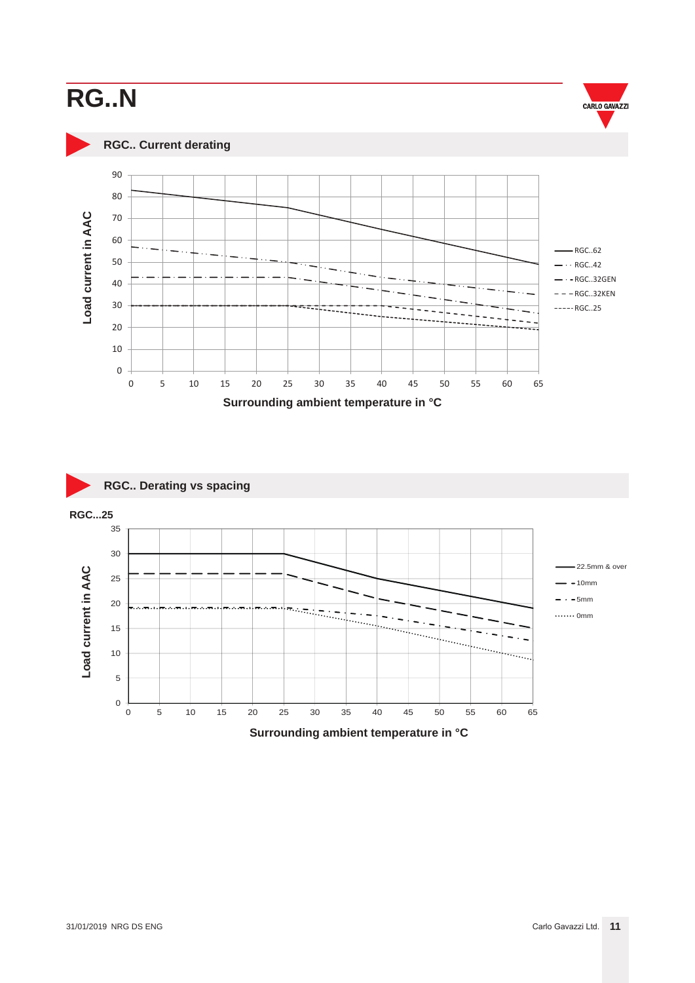<span id="page-10-0"></span>



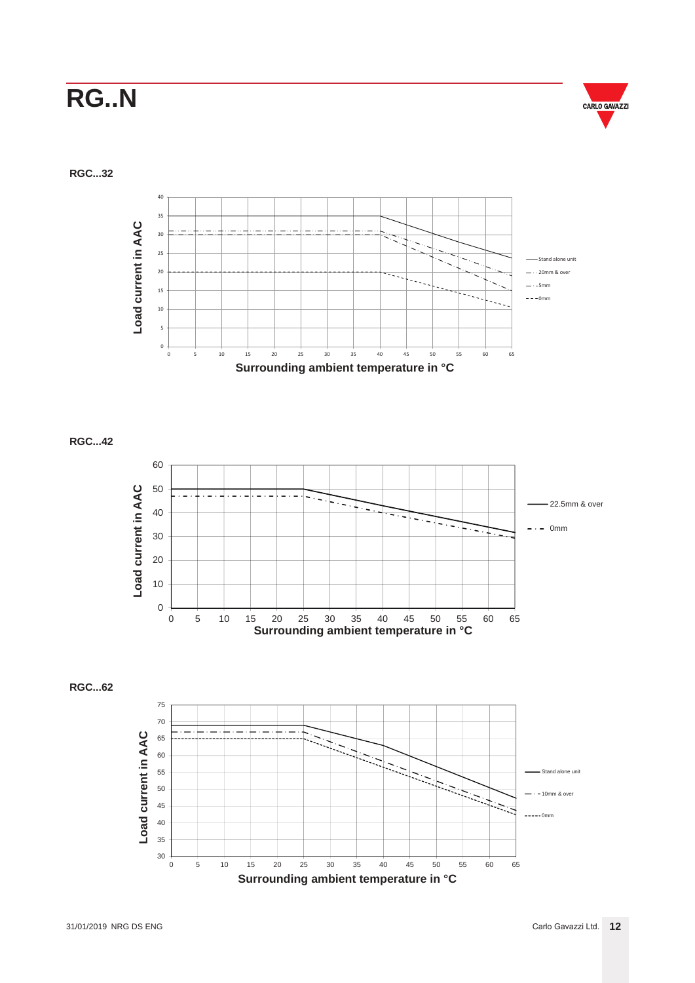

**RGC...32**



**RGC...42**



**RGC...62**

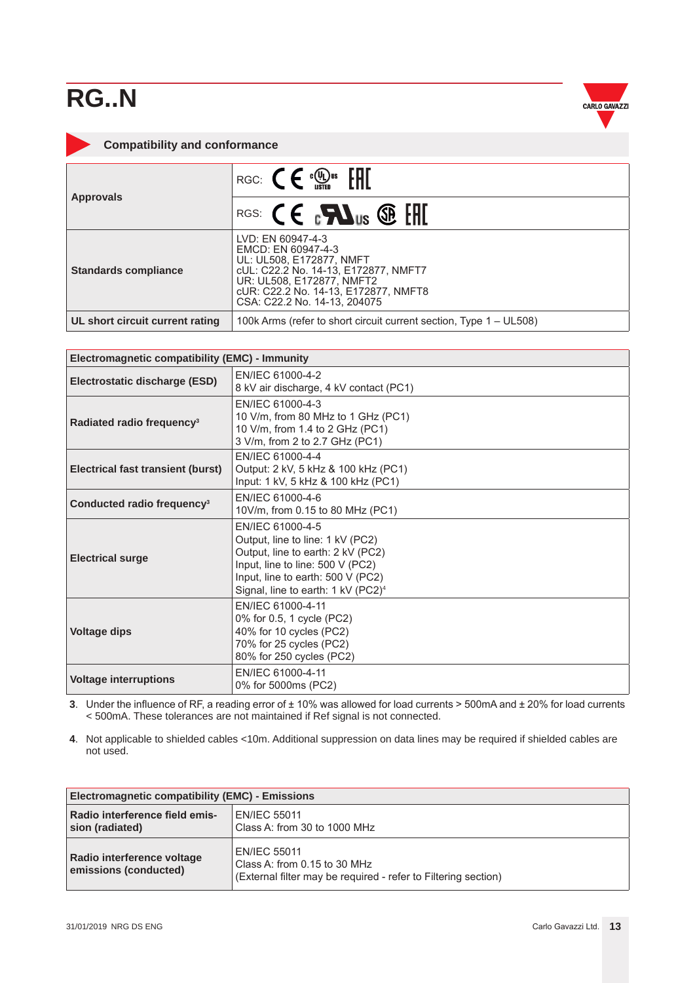

#### <span id="page-12-0"></span>**Compatibility and conformance**

| <b>Approvals</b>                | RGC: $\mathsf{C} \in \mathbb{C}$ $\mathbb{R}^n$ $\mathbb{H}$                                                                                                                                                     |  |  |  |
|---------------------------------|------------------------------------------------------------------------------------------------------------------------------------------------------------------------------------------------------------------|--|--|--|
|                                 | RGS: $\mathsf{CE}$ $\mathsf{FMS}$ of $\mathsf{H}$                                                                                                                                                                |  |  |  |
| <b>Standards compliance</b>     | LVD: EN 60947-4-3<br>EMCD: EN 60947-4-3<br>UL: UL508, E172877, NMFT<br>cUL: C22.2 No. 14-13, E172877, NMFT7<br>UR: UL508, E172877, NMFT2<br>cUR: C22.2 No. 14-13, E172877, NMFT8<br>CSA: C22.2 No. 14-13, 204075 |  |  |  |
| UL short circuit current rating | 100k Arms (refer to short circuit current section, Type 1 – UL508)                                                                                                                                               |  |  |  |

| Electromagnetic compatibility (EMC) - Immunity |                                                                                                                                                                                                                      |  |  |
|------------------------------------------------|----------------------------------------------------------------------------------------------------------------------------------------------------------------------------------------------------------------------|--|--|
| Electrostatic discharge (ESD)                  | EN/IEC 61000-4-2<br>8 kV air discharge, 4 kV contact (PC1)                                                                                                                                                           |  |  |
| Radiated radio frequency <sup>3</sup>          | EN/IEC 61000-4-3<br>10 V/m, from 80 MHz to 1 GHz (PC1)<br>10 V/m, from 1.4 to 2 GHz (PC1)<br>3 V/m, from 2 to 2.7 GHz (PC1)                                                                                          |  |  |
| Electrical fast transient (burst)              | EN/IEC 61000-4-4<br>Output: 2 kV, 5 kHz & 100 kHz (PC1)<br>Input: 1 kV, 5 kHz & 100 kHz (PC1)                                                                                                                        |  |  |
| Conducted radio frequency <sup>3</sup>         | EN/IEC 61000-4-6<br>10V/m, from 0.15 to 80 MHz (PC1)                                                                                                                                                                 |  |  |
| <b>Electrical surge</b>                        | EN/IEC 61000-4-5<br>Output, line to line: 1 kV (PC2)<br>Output, line to earth: 2 kV (PC2)<br>Input, line to line: 500 V (PC2)<br>Input, line to earth: 500 V (PC2)<br>Signal, line to earth: 1 kV (PC2) <sup>4</sup> |  |  |
| <b>Voltage dips</b>                            | EN/IEC 61000-4-11<br>0% for 0.5, 1 cycle (PC2)<br>40% for 10 cycles (PC2)<br>70% for 25 cycles (PC2)<br>80% for 250 cycles (PC2)                                                                                     |  |  |
| <b>Voltage interruptions</b>                   | EN/IEC 61000-4-11<br>0% for 5000ms (PC2)                                                                                                                                                                             |  |  |

**3**. Under the influence of RF, a reading error of ± 10% was allowed for load currents > 500mA and ± 20% for load currents < 500mA. These tolerances are not maintained if Ref signal is not connected.

**4**. Not applicable to shielded cables <10m. Additional suppression on data lines may be required if shielded cables are not used.

| Electromagnetic compatibility (EMC) - Emissions     |                                                                                                                       |  |  |
|-----------------------------------------------------|-----------------------------------------------------------------------------------------------------------------------|--|--|
| Radio interference field emis-<br>sion (radiated)   | <b>EN/IEC 55011</b><br>Class A: from 30 to 1000 MHz                                                                   |  |  |
| Radio interference voltage<br>emissions (conducted) | <b>EN/IEC 55011</b><br>Class A: from 0.15 to 30 MHz<br>(External filter may be required - refer to Filtering section) |  |  |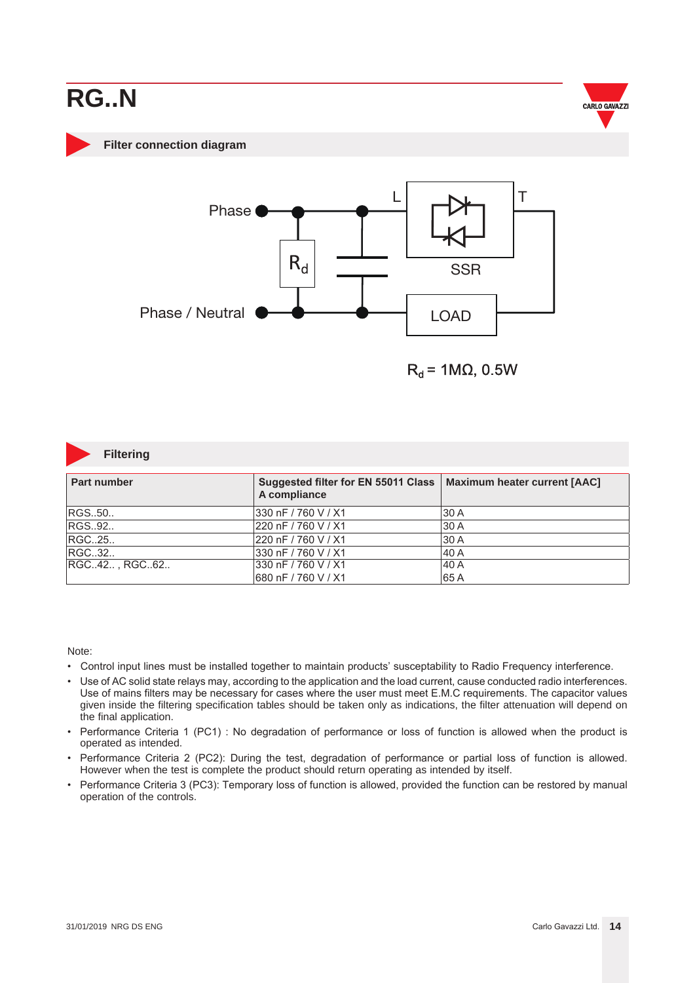

#### <span id="page-13-0"></span>**Filter connection diagram**



 $R_d$  = 1M $\Omega$ , 0.5W



#### **Filtering**

| <b>Part number</b> | Suggested filter for EN 55011 Class   Maximum heater current [AAC]<br>A compliance |       |  |  |
|--------------------|------------------------------------------------------------------------------------|-------|--|--|
| RGS50              | 330 nF / 760 V / X1                                                                | 130 A |  |  |
| RGS92              | 220 nF / 760 V / X1                                                                | 130 A |  |  |
| RGC25              | 220 nF / 760 V / X1                                                                | 130 A |  |  |
| RGC32              | 330 nF / 760 V / X1                                                                | 140 A |  |  |
| RGC42, RGC62       | 330 nF / 760 V / X1                                                                | 140 A |  |  |
|                    | 680 nF / 760 V / X1                                                                | 65A   |  |  |

#### Note:

- Control input lines must be installed together to maintain products' susceptability to Radio Frequency interference.
- Use of AC solid state relays may, according to the application and the load current, cause conducted radio interferences. Use of mains filters may be necessary for cases where the user must meet E.M.C requirements. The capacitor values given inside the filtering specification tables should be taken only as indications, the filter attenuation will depend on the final application.
- Performance Criteria 1 (PC1) : No degradation of performance or loss of function is allowed when the product is operated as intended.
- Performance Criteria 2 (PC2): During the test, degradation of performance or partial loss of function is allowed. However when the test is complete the product should return operating as intended by itself.
- Performance Criteria 3 (PC3): Temporary loss of function is allowed, provided the function can be restored by manual operation of the controls.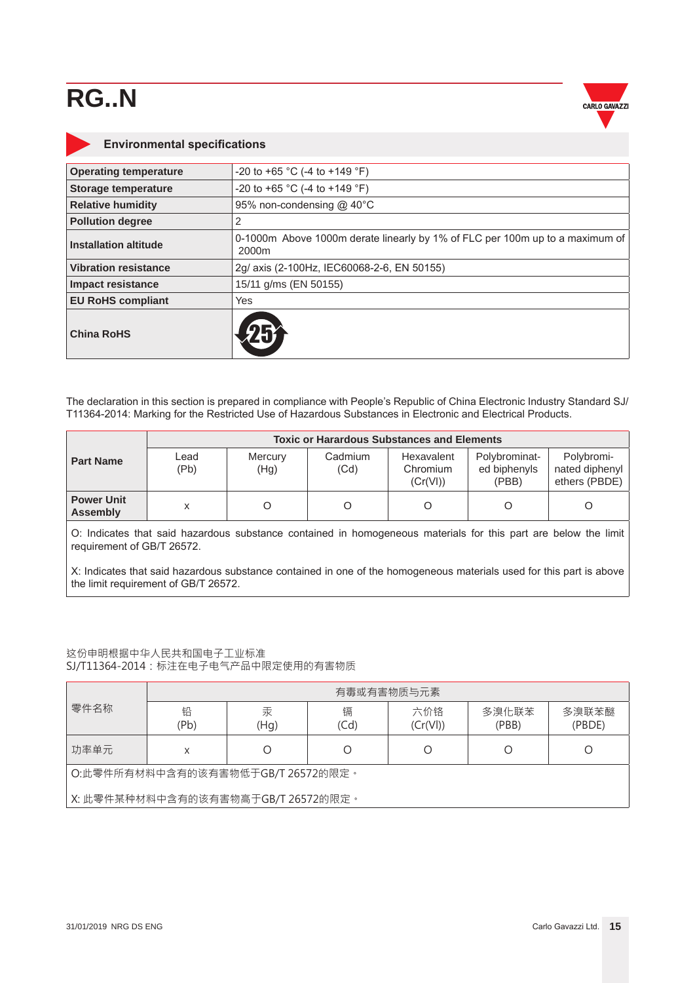

<span id="page-14-0"></span>

| <b>Environmental specifications</b> |                                                                                       |  |  |  |  |
|-------------------------------------|---------------------------------------------------------------------------------------|--|--|--|--|
| <b>Operating temperature</b>        | -20 to +65 °C (-4 to +149 °F)                                                         |  |  |  |  |
| Storage temperature                 | -20 to +65 °C (-4 to +149 °F)                                                         |  |  |  |  |
| <b>Relative humidity</b>            | 95% non-condensing @ 40°C                                                             |  |  |  |  |
| <b>Pollution degree</b>             | 2                                                                                     |  |  |  |  |
| Installation altitude               | 0-1000m Above 1000m derate linearly by 1% of FLC per 100m up to a maximum of<br>2000m |  |  |  |  |
| <b>Vibration resistance</b>         | 2g/ axis (2-100Hz, IEC60068-2-6, EN 50155)                                            |  |  |  |  |
| <b>Impact resistance</b>            | 15/11 g/ms (EN 50155)                                                                 |  |  |  |  |
| <b>EU RoHS compliant</b>            | <b>Yes</b>                                                                            |  |  |  |  |
| <b>China RoHS</b>                   |                                                                                       |  |  |  |  |

The declaration in this section is prepared in compliance with People's Republic of China Electronic Industry Standard SJ/ T11364-2014: Marking for the Restricted Use of Hazardous Substances in Electronic and Electrical Products.

|                                      | <b>Toxic or Harardous Substances and Elements</b> |                 |                 |                                    |                                        |                                               |
|--------------------------------------|---------------------------------------------------|-----------------|-----------------|------------------------------------|----------------------------------------|-----------------------------------------------|
| <b>Part Name</b>                     | Lead<br>(Pb)                                      | Mercury<br>(Hg) | Cadmium<br>(Cd) | Hexavalent<br>Chromium<br>(Cr(VI)) | Polybrominat-<br>ed biphenyls<br>(PBB) | Polybromi-<br>nated diphenyl<br>ethers (PBDE) |
| <b>Power Unit</b><br><b>Assembly</b> |                                                   |                 |                 |                                    |                                        |                                               |

O: Indicates that said hazardous substance contained in homogeneous materials for this part are below the limit requirement of GB/T 26572.

X: Indicates that said hazardous substance contained in one of the homogeneous materials used for this part is above the limit requirement of GB/T 26572.

#### 这份申明根据中华人民共和国电子工业标准 SJ/T11364-2014:标注在电子电气产品中限定使用的有害物质

| 零件名称                               |           | 有毒或有害物质与元素 |           |                |                |                 |  |
|------------------------------------|-----------|------------|-----------|----------------|----------------|-----------------|--|
|                                    | 铅<br>(Pb) | 汞<br>(Hq)  | 镉<br>(Cd) | 六价铬<br>(Cr(V)) | 多溴化联苯<br>(PBB) | 多溴联苯醚<br>(PBDE) |  |
| 功率单元                               | X         | О          |           | Ο              |                |                 |  |
| O:此零件所有材料中含有的该有害物低于GB/T 26572的限定。  |           |            |           |                |                |                 |  |
| X: 此零件某种材料中含有的该有害物高于GB/T 26572的限定。 |           |            |           |                |                |                 |  |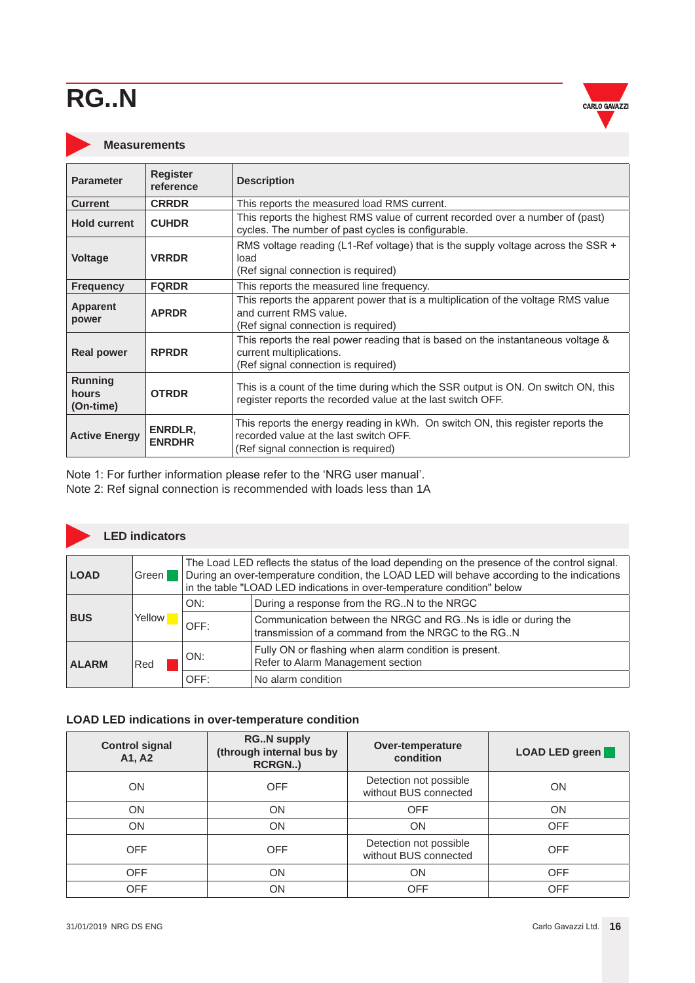

#### <span id="page-15-0"></span>**Measurements**

| <b>Parameter</b>                     | <b>Register</b><br>reference | <b>Description</b>                                                                                                                                               |
|--------------------------------------|------------------------------|------------------------------------------------------------------------------------------------------------------------------------------------------------------|
| <b>Current</b>                       | <b>CRRDR</b>                 | This reports the measured load RMS current.                                                                                                                      |
| <b>Hold current</b>                  | <b>CUHDR</b>                 | This reports the highest RMS value of current recorded over a number of (past)<br>cycles. The number of past cycles is configurable.                             |
| <b>Voltage</b>                       | <b>VRRDR</b>                 | RMS voltage reading (L1-Ref voltage) that is the supply voltage across the SSR +<br>load<br>(Ref signal connection is required)                                  |
| <b>Frequency</b>                     | <b>FQRDR</b>                 | This reports the measured line frequency.                                                                                                                        |
| Apparent<br>power                    | <b>APRDR</b>                 | This reports the apparent power that is a multiplication of the voltage RMS value<br>and current RMS value.<br>(Ref signal connection is required)               |
| <b>Real power</b>                    | <b>RPRDR</b>                 | This reports the real power reading that is based on the instantaneous voltage &<br>current multiplications.<br>(Ref signal connection is required)              |
| <b>Running</b><br>hours<br>(On-time) | <b>OTRDR</b>                 | This is a count of the time during which the SSR output is ON. On switch ON, this<br>register reports the recorded value at the last switch OFF.                 |
| <b>Active Energy</b>                 | ENRDLR,<br><b>ENRDHR</b>     | This reports the energy reading in kWh. On switch ON, this register reports the<br>recorded value at the last switch OFF.<br>(Ref signal connection is required) |

Note 1: For further information please refer to the 'NRG user manual'.

Note 2: Ref signal connection is recommended with loads less than 1A

### **LED indicators**

| <b>LOAD</b>  | Green               | The Load LED reflects the status of the load depending on the presence of the control signal.<br>During an over-temperature condition, the LOAD LED will behave according to the indications<br>in the table "LOAD LED indications in over-temperature condition" below |                                                                                                                       |  |  |
|--------------|---------------------|-------------------------------------------------------------------------------------------------------------------------------------------------------------------------------------------------------------------------------------------------------------------------|-----------------------------------------------------------------------------------------------------------------------|--|--|
| <b>BUS</b>   | Yellow <sup>1</sup> | ON:                                                                                                                                                                                                                                                                     | During a response from the RG. N to the NRGC                                                                          |  |  |
|              |                     | $\mathsf{OFF}$ :                                                                                                                                                                                                                                                        | Communication between the NRGC and RG. Ns is idle or during the<br>transmission of a command from the NRGC to the RGN |  |  |
| <b>ALARM</b> | Red                 | ON:                                                                                                                                                                                                                                                                     | Fully ON or flashing when alarm condition is present.<br>Refer to Alarm Management section                            |  |  |
|              |                     | OFF:                                                                                                                                                                                                                                                                    | No alarm condition                                                                                                    |  |  |

#### **LOAD LED indications in over-temperature condition**

| <b>Control signal</b><br>A1, A2 | <b>RGN supply</b><br>(through internal bus by<br>RCRGN) | Over-temperature<br>condition                   | <b>LOAD LED green</b> |
|---------------------------------|---------------------------------------------------------|-------------------------------------------------|-----------------------|
| <b>ON</b>                       | <b>OFF</b>                                              | Detection not possible<br>without BUS connected | ON                    |
| ON                              | ON                                                      | <b>OFF</b>                                      | ON                    |
| <b>ON</b>                       | <b>ON</b>                                               | <b>ON</b>                                       | <b>OFF</b>            |
| <b>OFF</b>                      | <b>OFF</b>                                              |                                                 | <b>OFF</b>            |
| <b>OFF</b>                      | ON                                                      | ON                                              | <b>OFF</b>            |
| OFF                             | OΝ                                                      | <b>OFF</b>                                      | OFF                   |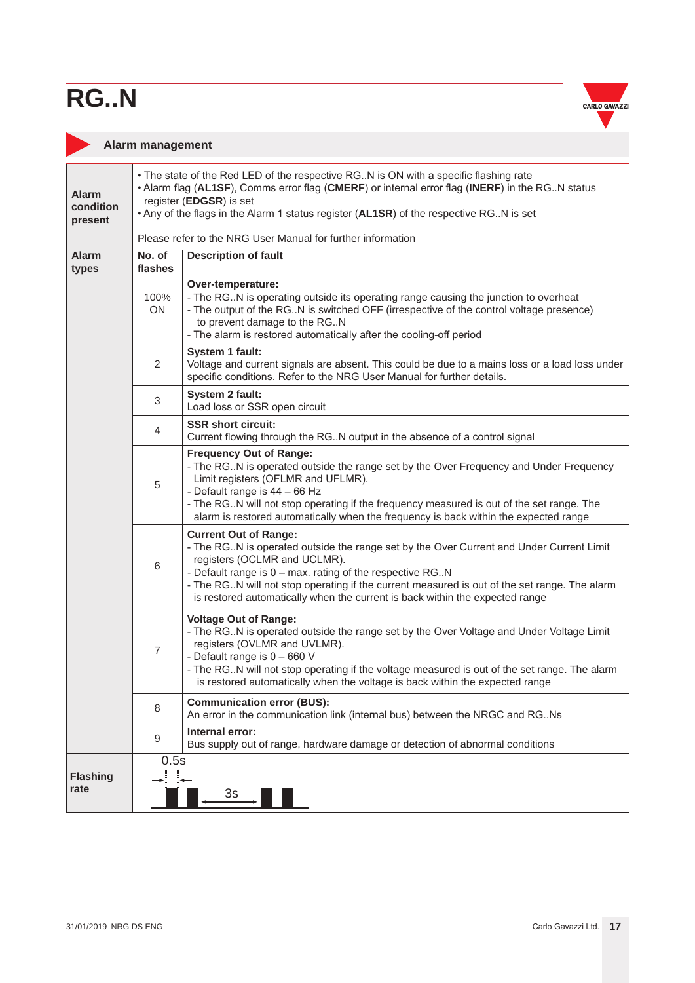

#### <span id="page-16-0"></span>**Alarm management**

| <b>Alarm</b><br>condition<br>present | • The state of the Red LED of the respective RG. N is ON with a specific flashing rate<br>• Alarm flag (AL1SF), Comms error flag (CMERF) or internal error flag (INERF) in the RG. N status<br>register (EDGSR) is set<br>. Any of the flags in the Alarm 1 status register (AL1SR) of the respective RG. N is set |                                                                                                                                                                                                                                                                                                                                                                                                         |  |  |  |  |
|--------------------------------------|--------------------------------------------------------------------------------------------------------------------------------------------------------------------------------------------------------------------------------------------------------------------------------------------------------------------|---------------------------------------------------------------------------------------------------------------------------------------------------------------------------------------------------------------------------------------------------------------------------------------------------------------------------------------------------------------------------------------------------------|--|--|--|--|
|                                      |                                                                                                                                                                                                                                                                                                                    | Please refer to the NRG User Manual for further information                                                                                                                                                                                                                                                                                                                                             |  |  |  |  |
| Alarm<br>types                       | No. of<br>flashes                                                                                                                                                                                                                                                                                                  | <b>Description of fault</b>                                                                                                                                                                                                                                                                                                                                                                             |  |  |  |  |
|                                      | 100%<br>ON                                                                                                                                                                                                                                                                                                         | Over-temperature:<br>- The RGN is operating outside its operating range causing the junction to overheat<br>- The output of the RGN is switched OFF (irrespective of the control voltage presence)<br>to prevent damage to the RGN<br>- The alarm is restored automatically after the cooling-off period                                                                                                |  |  |  |  |
|                                      | $\overline{2}$                                                                                                                                                                                                                                                                                                     | System 1 fault:<br>Voltage and current signals are absent. This could be due to a mains loss or a load loss under<br>specific conditions. Refer to the NRG User Manual for further details.                                                                                                                                                                                                             |  |  |  |  |
|                                      | 3                                                                                                                                                                                                                                                                                                                  | System 2 fault:<br>Load loss or SSR open circuit                                                                                                                                                                                                                                                                                                                                                        |  |  |  |  |
|                                      | 4                                                                                                                                                                                                                                                                                                                  | <b>SSR short circuit:</b><br>Current flowing through the RG. N output in the absence of a control signal                                                                                                                                                                                                                                                                                                |  |  |  |  |
|                                      | 5                                                                                                                                                                                                                                                                                                                  | <b>Frequency Out of Range:</b><br>- The RG. N is operated outside the range set by the Over Frequency and Under Frequency<br>Limit registers (OFLMR and UFLMR).<br>- Default range is 44 - 66 Hz<br>- The RG. N will not stop operating if the frequency measured is out of the set range. The<br>alarm is restored automatically when the frequency is back within the expected range                  |  |  |  |  |
|                                      | 6                                                                                                                                                                                                                                                                                                                  | <b>Current Out of Range:</b><br>- The RG. N is operated outside the range set by the Over Current and Under Current Limit<br>registers (OCLMR and UCLMR).<br>- Default range is 0 - max. rating of the respective RGN<br>- The RG. N will not stop operating if the current measured is out of the set range. The alarm<br>is restored automatically when the current is back within the expected range |  |  |  |  |
|                                      | $\overline{7}$                                                                                                                                                                                                                                                                                                     | <b>Voltage Out of Range:</b><br>- The RGN is operated outside the range set by the Over Voltage and Under Voltage Limit<br>registers (OVLMR and UVLMR).<br>- Default range is 0 - 660 V<br>- The RG. N will not stop operating if the voltage measured is out of the set range. The alarm<br>is restored automatically when the voltage is back within the expected range                               |  |  |  |  |
|                                      | 8                                                                                                                                                                                                                                                                                                                  | <b>Communication error (BUS):</b><br>An error in the communication link (internal bus) between the NRGC and RG. Ns                                                                                                                                                                                                                                                                                      |  |  |  |  |
|                                      | 9                                                                                                                                                                                                                                                                                                                  | Internal error:<br>Bus supply out of range, hardware damage or detection of abnormal conditions                                                                                                                                                                                                                                                                                                         |  |  |  |  |
| <b>Flashing</b><br>rate              | 0.5s                                                                                                                                                                                                                                                                                                               | 3s                                                                                                                                                                                                                                                                                                                                                                                                      |  |  |  |  |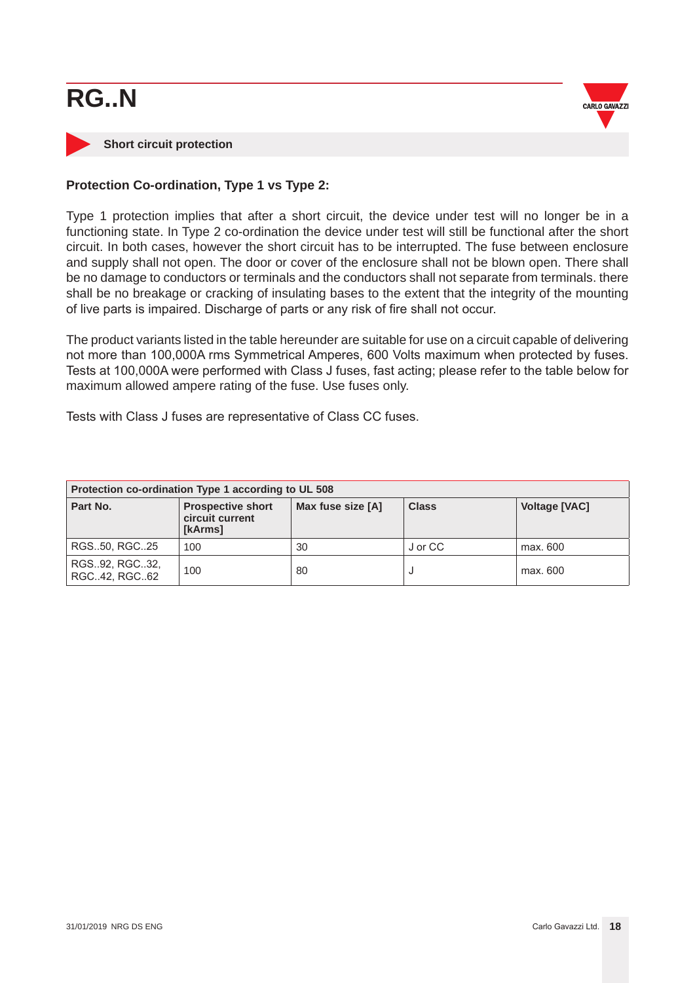

#### <span id="page-17-0"></span>**Short circuit protection**

#### **Protection Co-ordination, Type 1 vs Type 2:**

Type 1 protection implies that after a short circuit, the device under test will no longer be in a functioning state. In Type 2 co-ordination the device under test will still be functional after the short circuit. In both cases, however the short circuit has to be interrupted. The fuse between enclosure and supply shall not open. The door or cover of the enclosure shall not be blown open. There shall be no damage to conductors or terminals and the conductors shall not separate from terminals. there shall be no breakage or cracking of insulating bases to the extent that the integrity of the mounting of live parts is impaired. Discharge of parts or any risk of fire shall not occur.

The product variants listed in the table hereunder are suitable for use on a circuit capable of delivering not more than 100,000A rms Symmetrical Amperes, 600 Volts maximum when protected by fuses. Tests at 100,000A were performed with Class J fuses, fast acting; please refer to the table below for maximum allowed ampere rating of the fuse. Use fuses only.

Tests with Class J fuses are representative of Class CC fuses.

| Protection co-ordination Type 1 according to UL 508 |                                                        |                   |              |                      |
|-----------------------------------------------------|--------------------------------------------------------|-------------------|--------------|----------------------|
| Part No.                                            | <b>Prospective short</b><br>circuit current<br>[kArms] | Max fuse size [A] | <b>Class</b> | <b>Voltage [VAC]</b> |
| RGS50, RGC25                                        | 100                                                    | 30                | J or CC      | max. 600             |
| RGS92, RGC32,<br>RGC42, RGC62                       | 100                                                    | 80                |              | max. 600             |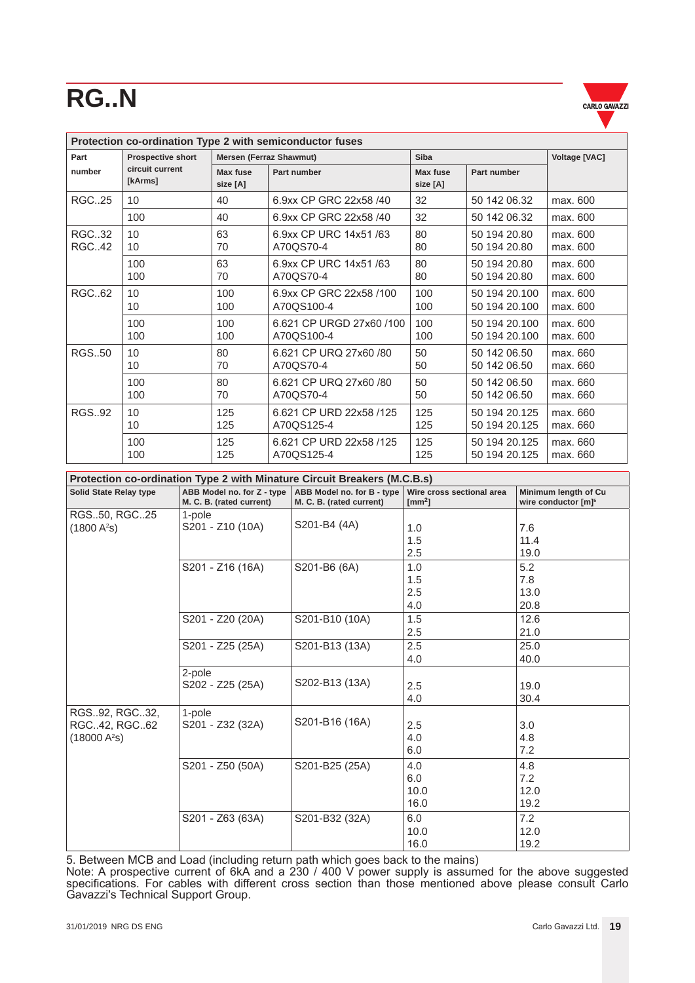

| Protection co-ordination Type 2 with semiconductor fuses |                            |                         |                          |                             |               |                      |
|----------------------------------------------------------|----------------------------|-------------------------|--------------------------|-----------------------------|---------------|----------------------|
| Part                                                     | <b>Prospective short</b>   | Mersen (Ferraz Shawmut) |                          | <b>Siba</b>                 |               | <b>Voltage [VAC]</b> |
| number                                                   | circuit current<br>[kArms] | Max fuse<br>size [A]    | Part number              | <b>Max fuse</b><br>size [A] | Part number   |                      |
| <b>RGC25</b>                                             | 10                         | 40                      | 6.9xx CP GRC 22x58 /40   | 32                          | 50 142 06.32  | max. 600             |
|                                                          | 100                        | 40                      | 6.9xx CP GRC 22x58 /40   | 32                          | 50 142 06.32  | max. 600             |
| <b>RGC32</b>                                             | 10                         | 63                      | 6.9xx CP URC 14x51 /63   | 80                          | 50 194 20.80  | max. 600             |
| RGC42                                                    | 10                         | 70                      | A70QS70-4                | 80                          | 50 194 20.80  | max. 600             |
|                                                          | 100                        | 63                      | 6.9xx CP URC 14x51 /63   | 80                          | 50 194 20.80  | max. 600             |
|                                                          | 100                        | 70                      | A70QS70-4                | 80                          | 50 194 20.80  | max. 600             |
| RGC62                                                    | 10                         | 100                     | 6.9xx CP GRC 22x58 /100  | 100                         | 50 194 20.100 | max. 600             |
|                                                          | 10                         | 100                     | A70QS100-4               | 100                         | 50 194 20.100 | max. 600             |
|                                                          | 100                        | 100                     | 6.621 CP URGD 27x60 /100 | 100                         | 50 194 20.100 | max. 600             |
|                                                          | 100                        | 100                     | A70QS100-4               | 100                         | 50 194 20.100 | max. 600             |
| RGS50                                                    | 10                         | 80                      | 6.621 CP URQ 27x60 /80   | 50                          | 50 142 06.50  | max. 660             |
|                                                          | 10                         | 70                      | A70QS70-4                | 50                          | 50 142 06.50  | max. 660             |
|                                                          | 100                        | 80                      | 6.621 CP URQ 27x60 /80   | 50                          | 50 142 06.50  | max. 660             |
|                                                          | 100                        | 70                      | A70QS70-4                | 50                          | 50 142 06.50  | max. 660             |
| <b>RGS.,92</b>                                           | 10                         | 125                     | 6.621 CP URD 22x58 /125  | 125                         | 50 194 20.125 | max. 660             |
|                                                          | 10                         | 125                     | A70QS125-4               | 125                         | 50 194 20.125 | max. 660             |
|                                                          | 100                        | 125                     | 6.621 CP URD 22x58 /125  | 125                         | 50 194 20.125 | max. 660             |
|                                                          | 100                        | 125                     | A70QS125-4               | 125                         | 50 194 20.125 | max. 660             |

|                                                           | Protection co-ordination Type 2 with Minature Circuit Breakers (M.C.B.s) |                                                        |                                               |                                                         |  |  |
|-----------------------------------------------------------|--------------------------------------------------------------------------|--------------------------------------------------------|-----------------------------------------------|---------------------------------------------------------|--|--|
| <b>Solid State Relay type</b>                             | ABB Model no. for Z - type<br>M. C. B. (rated current)                   | ABB Model no. for B - type<br>M. C. B. (rated current) | Wire cross sectional area<br>$\text{[mm}^2$ ] | Minimum length of Cu<br>wire conductor [m] <sup>5</sup> |  |  |
| RGS50, RGC25<br>(1800 A <sup>2</sup> S)                   | 1-pole<br>S201 - Z10 (10A)                                               | S201-B4 (4A)                                           | 1.0<br>1.5<br>2.5                             | 7.6<br>11.4<br>19.0                                     |  |  |
|                                                           | S201 - Z16 (16A)                                                         | S201-B6 (6A)                                           | 1.0<br>1.5<br>2.5<br>4.0                      | 5.2<br>7.8<br>13.0<br>20.8                              |  |  |
|                                                           | S201 - Z20 (20A)                                                         | S201-B10 (10A)                                         | 1.5<br>2.5                                    | 12.6<br>21.0                                            |  |  |
|                                                           | S201 - Z25 (25A)                                                         | S201-B13 (13A)                                         | 2.5<br>4.0                                    | 25.0<br>40.0                                            |  |  |
|                                                           | 2-pole<br>S202 - Z25 (25A)                                               | S202-B13 (13A)                                         | 2.5<br>4.0                                    | 19.0<br>30.4                                            |  |  |
| RGS92, RGC32,<br>RGC42, RGC62<br>(18000 A <sup>2</sup> S) | 1-pole<br>S201 - Z32 (32A)                                               | S201-B16 (16A)                                         | 2.5<br>4.0<br>6.0                             | 3.0<br>4.8<br>7.2                                       |  |  |
|                                                           | S201 - Z50 (50A)                                                         | S201-B25 (25A)                                         | 4.0<br>6.0<br>10.0<br>16.0                    | 4.8<br>7.2<br>12.0<br>19.2                              |  |  |
|                                                           | S201 - Z63 (63A)                                                         | S201-B32 (32A)                                         | 6.0<br>10.0<br>16.0                           | 7.2<br>12.0<br>19.2                                     |  |  |

5. Between MCB and Load (including return path which goes back to the mains)

Note: A prospective current of 6kA and a 230 / 400 V power supply is assumed for the above suggested specifications. For cables with different cross section than those mentioned above please consult Carlo Gavazzi's Technical Support Group.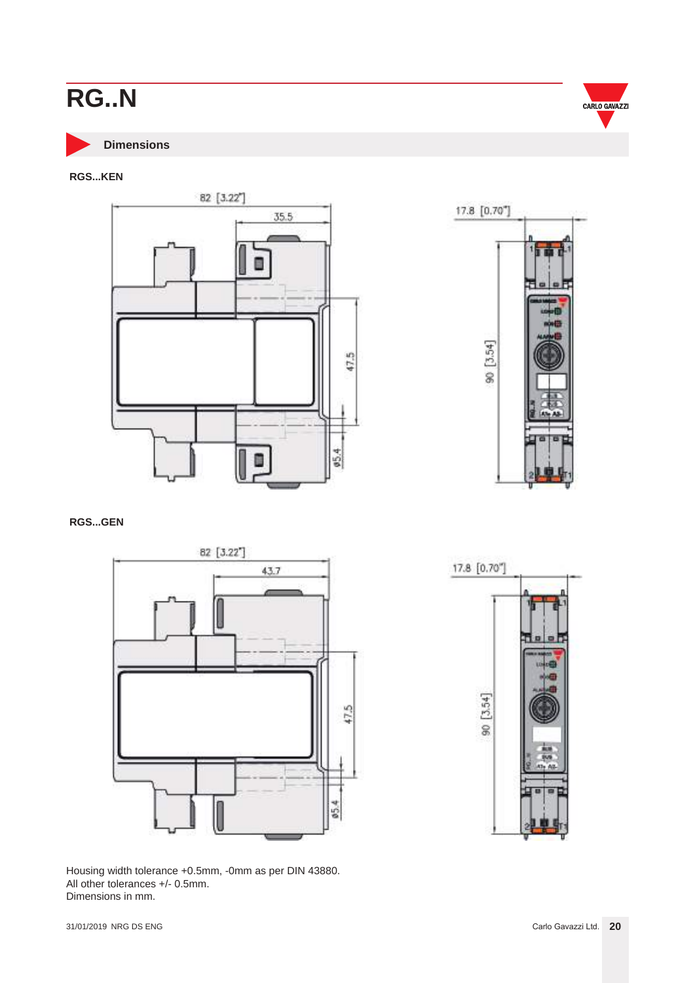<span id="page-19-0"></span>

**Dimensions**

#### **RGS...KEN**



**RGS...GEN**



Housing width tolerance +0.5mm, -0mm as per DIN 43880. All other tolerances +/- 0.5mm. Dimensions in mm.





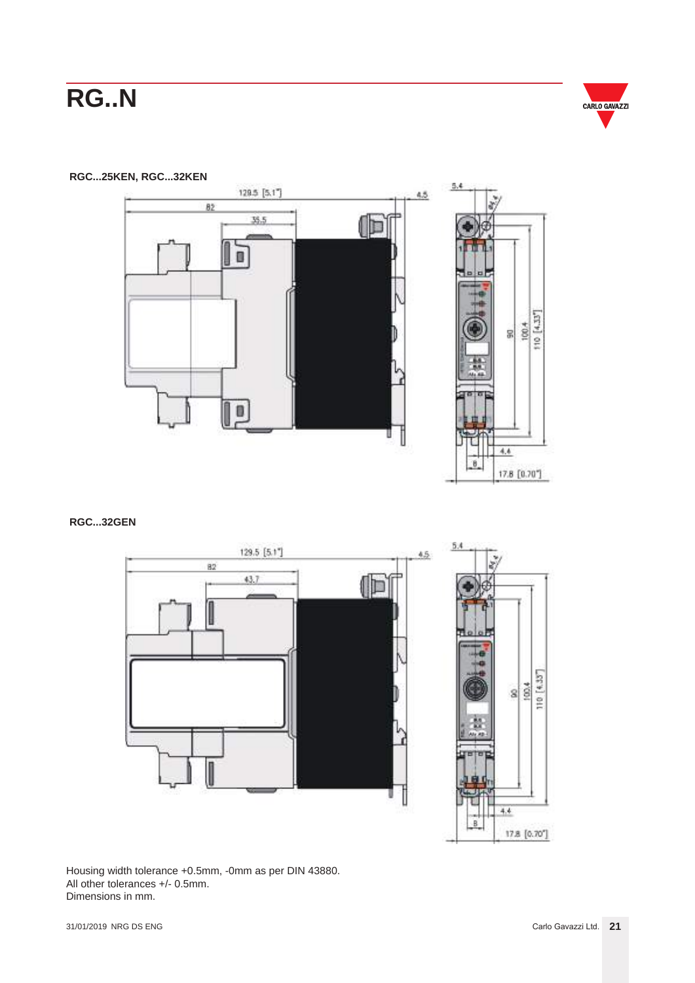

 $10 [4.33"$ 

**RGC...25KEN, RGC...32KEN**



#### **RGC...32GEN**



Housing width tolerance +0.5mm, -0mm as per DIN 43880. All other tolerances +/- 0.5mm. Dimensions in mm.

17.8 [0.70"]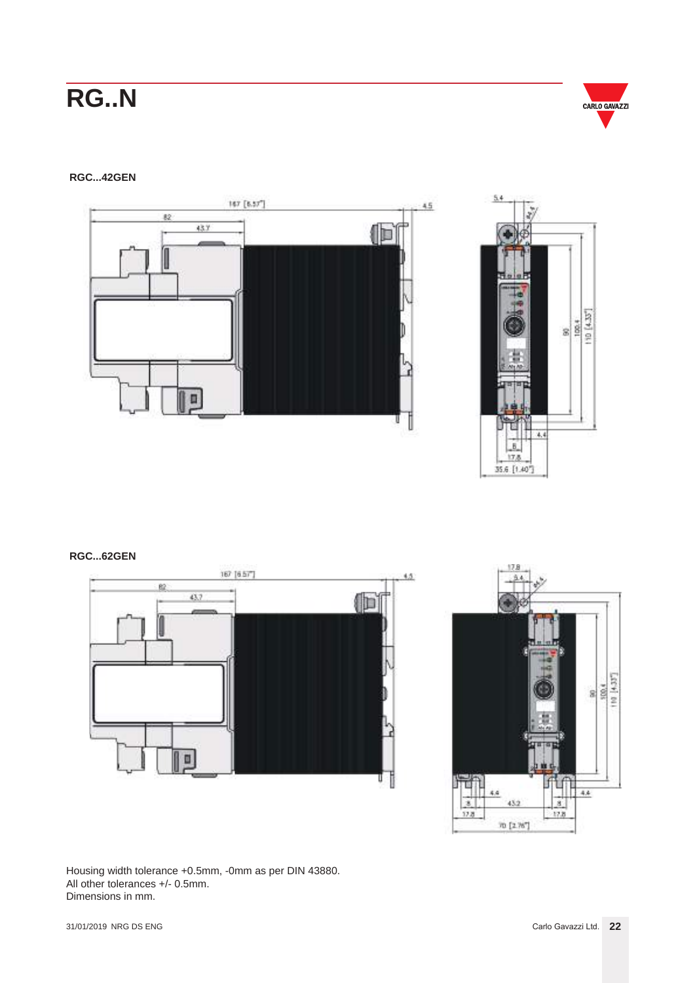

#### **RGC...42GEN**





#### **RGC...62GEN**





Housing width tolerance +0.5mm, -0mm as per DIN 43880. All other tolerances +/- 0.5mm. Dimensions in mm.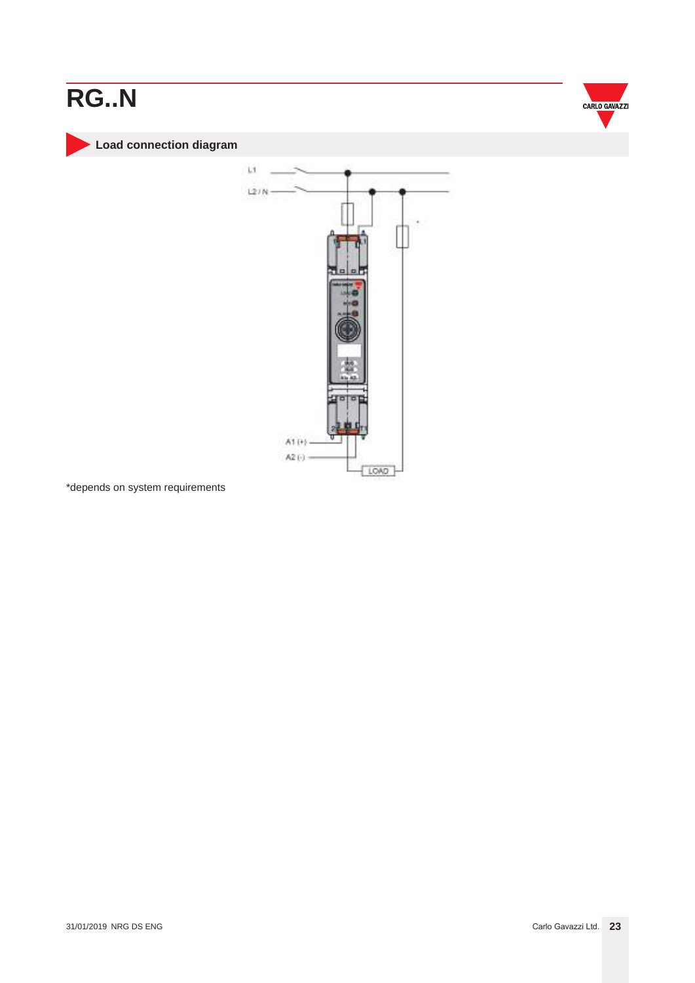<span id="page-22-0"></span>



**Load connection diagram**



\*depends on system requirements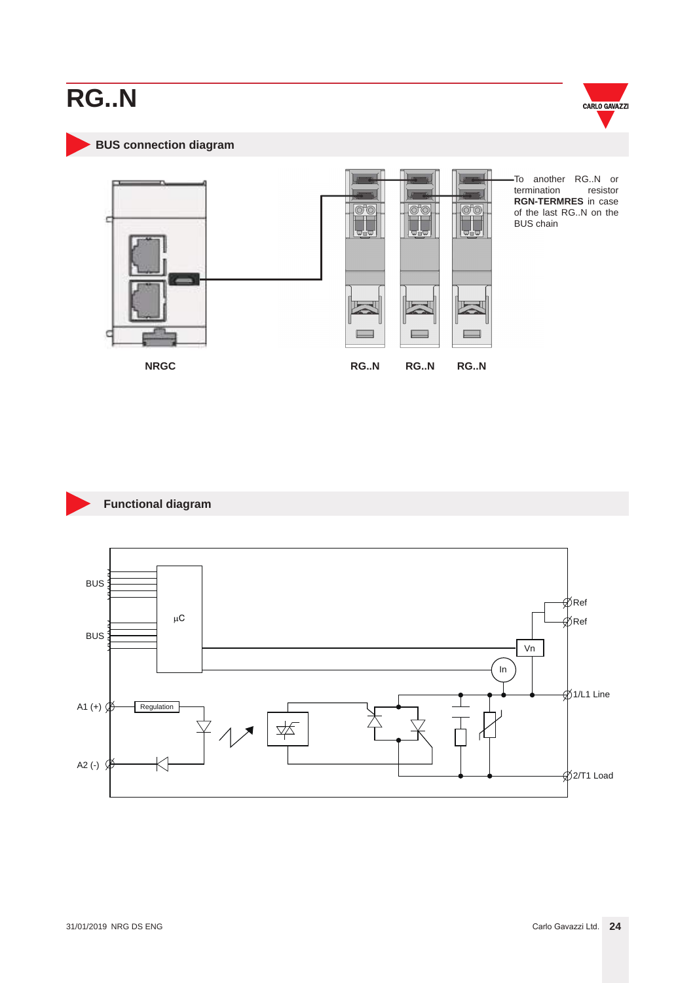

<span id="page-23-0"></span>**BUS connection diagram**



To another RG..N or<br>termination resistor termination **RGN-TERMRES** in case of the last RG..N on the BUS chain

**Functional diagram**

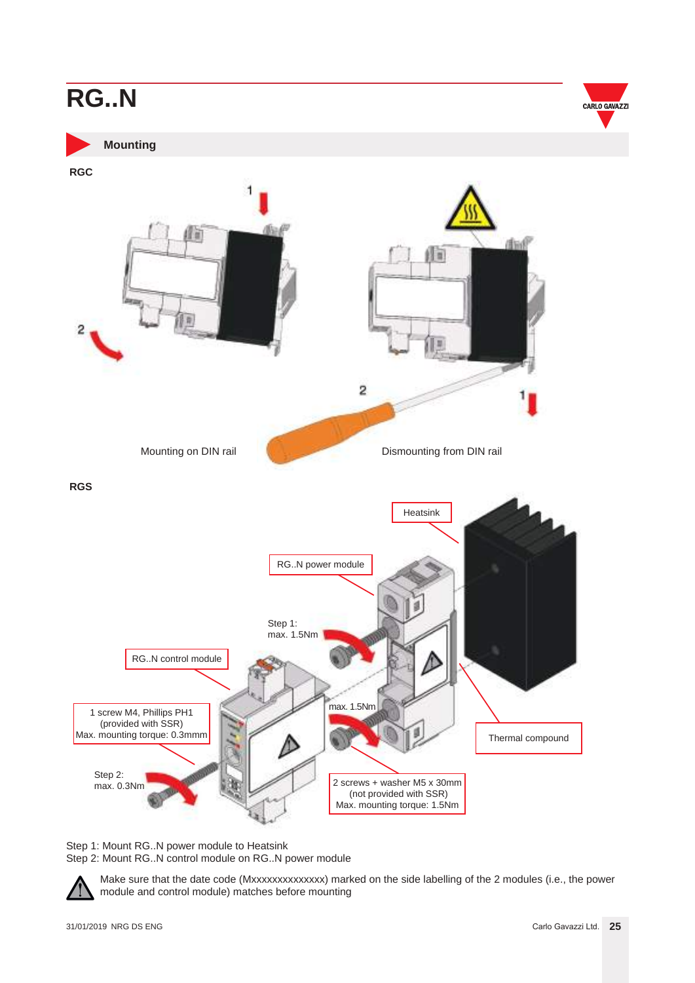

**Mounting**

<span id="page-24-0"></span>

Step 1: Mount RG..N power module to Heatsink Step 2: Mount RG..N control module on RG..N power module

Make sure that the date code (Mxxxxxxxxxxxxxx) marked on the side labelling of the 2 modules (i.e., the power module and control module) matches before mounting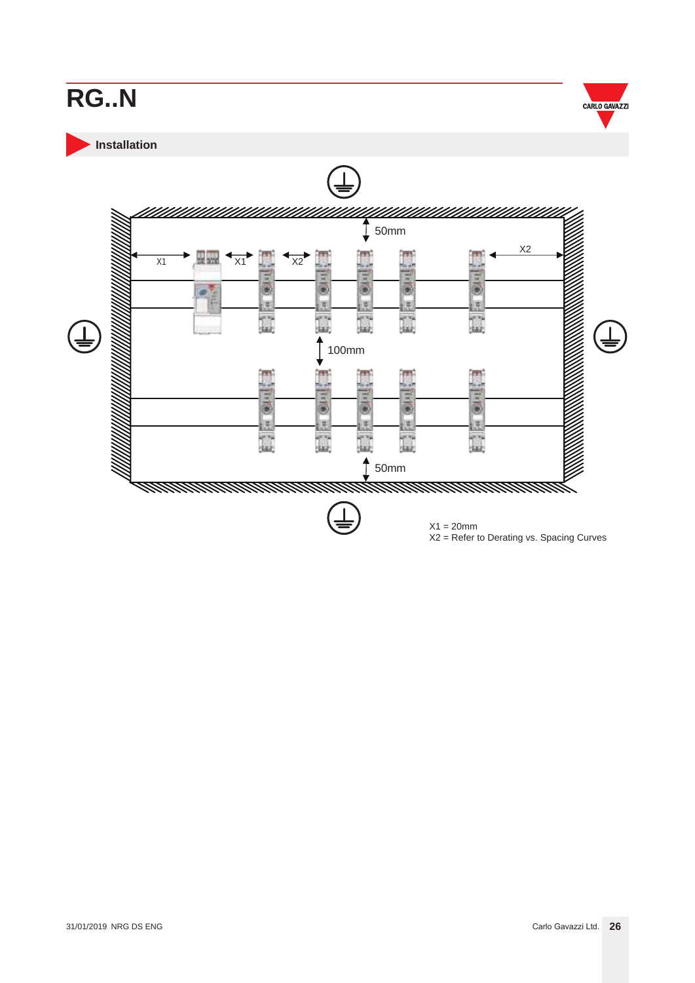<span id="page-25-0"></span>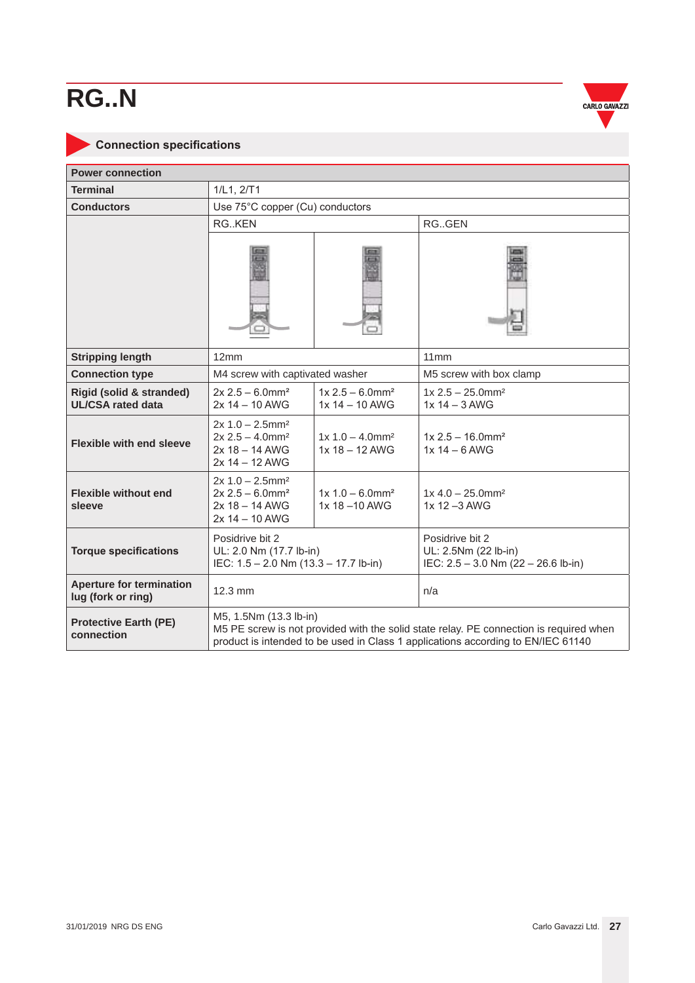

### <span id="page-26-0"></span>**Connection specifications**

| <b>Power connection</b>                                         |                                                                                                                                                                                                      |                                                  |                                                                                  |  |  |
|-----------------------------------------------------------------|------------------------------------------------------------------------------------------------------------------------------------------------------------------------------------------------------|--------------------------------------------------|----------------------------------------------------------------------------------|--|--|
| <b>Terminal</b>                                                 | 1/L1, 2/T1                                                                                                                                                                                           |                                                  |                                                                                  |  |  |
| <b>Conductors</b>                                               | Use 75°C copper (Cu) conductors                                                                                                                                                                      |                                                  |                                                                                  |  |  |
|                                                                 | RGKEN                                                                                                                                                                                                |                                                  | RGGEN                                                                            |  |  |
|                                                                 |                                                                                                                                                                                                      |                                                  |                                                                                  |  |  |
| <b>Stripping length</b>                                         | 12mm                                                                                                                                                                                                 |                                                  | 11mm                                                                             |  |  |
| <b>Connection type</b>                                          | M4 screw with captivated washer                                                                                                                                                                      |                                                  | M5 screw with box clamp                                                          |  |  |
| <b>Rigid (solid &amp; stranded)</b><br><b>UL/CSA rated data</b> | $2x 2.5 - 6.0$ mm <sup>2</sup><br>2x 14 - 10 AWG                                                                                                                                                     | $1x 2.5 - 6.0$ mm <sup>2</sup><br>1x 14 - 10 AWG | $1x 2.5 - 25.0$ mm <sup>2</sup><br>$1x 14 - 3$ AWG                               |  |  |
| <b>Flexible with end sleeve</b>                                 | $2x 1.0 - 2.5$ mm <sup>2</sup><br>$1x 1.0 - 4.0$ mm <sup>2</sup><br>$2x 2.5 - 4.0$ mm <sup>2</sup><br>1x 18 - 12 AWG<br>$2x 18 - 14$ AWG<br>2x 14 - 12 AWG                                           |                                                  | $1x 2.5 - 16.0$ mm <sup>2</sup><br>$1x 14 - 6$ AWG                               |  |  |
| <b>Flexible without end</b><br>sleeve                           | $2x 1.0 - 2.5$ mm <sup>2</sup><br>$2x 2.5 - 6.0$ mm <sup>2</sup><br>$2x 18 - 14$ AWG<br>2x 14 - 10 AWG                                                                                               | $1x 1.0 - 6.0$ mm <sup>2</sup><br>1x 18-10 AWG   | $1x 4.0 - 25.0$ mm <sup>2</sup><br>1x 12 -3 AWG                                  |  |  |
| <b>Torque specifications</b>                                    | Posidrive bit 2<br>UL: 2.0 Nm (17.7 lb-in)<br>IEC: 1.5 - 2.0 Nm (13.3 - 17.7 lb-in)                                                                                                                  |                                                  | Posidrive bit 2<br>UL: 2.5Nm (22 lb-in)<br>IEC: $2.5 - 3.0$ Nm (22 - 26.6 lb-in) |  |  |
| <b>Aperture for termination</b><br>lug (fork or ring)           | $12.3 \text{ mm}$                                                                                                                                                                                    |                                                  | n/a                                                                              |  |  |
| <b>Protective Earth (PE)</b><br>connection                      | M5, 1.5Nm (13.3 lb-in)<br>M5 PE screw is not provided with the solid state relay. PE connection is required when<br>product is intended to be used in Class 1 applications according to EN/IEC 61140 |                                                  |                                                                                  |  |  |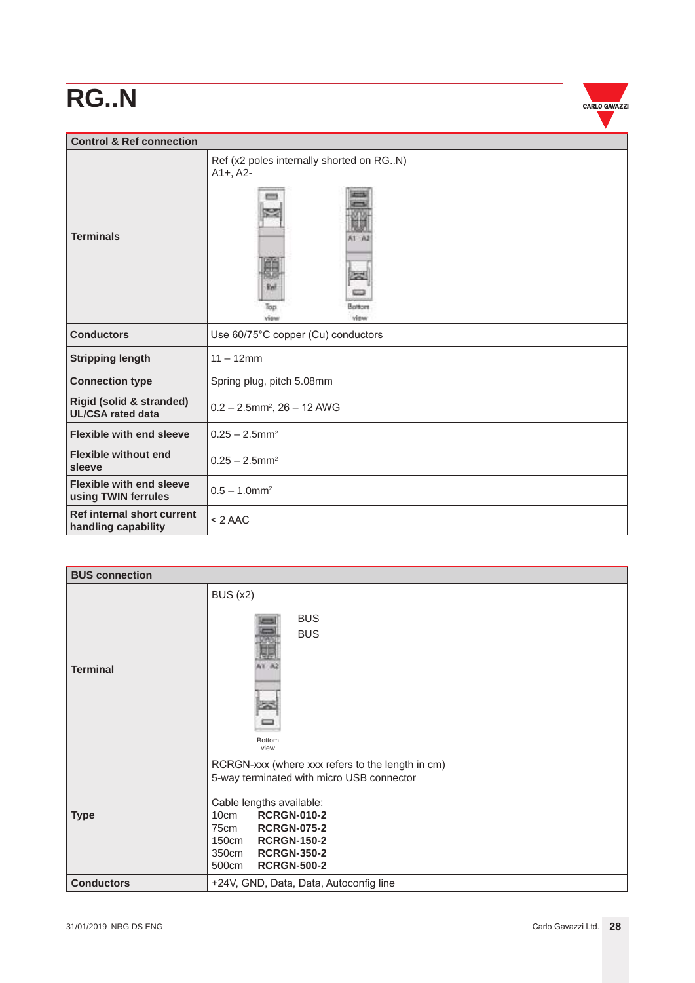

| <b>Control &amp; Ref connection</b>                             |                                                        |  |  |
|-----------------------------------------------------------------|--------------------------------------------------------|--|--|
|                                                                 | Ref (x2 poles internally shorted on RGN)<br>$A1+, A2-$ |  |  |
| <b>Terminals</b>                                                | $51 - 0.2$<br>юe<br>Battom<br>lap<br>view<br>view      |  |  |
| <b>Conductors</b>                                               | Use 60/75°C copper (Cu) conductors                     |  |  |
| <b>Stripping length</b>                                         | $11 - 12$ mm                                           |  |  |
| <b>Connection type</b>                                          | Spring plug, pitch 5.08mm                              |  |  |
| <b>Rigid (solid &amp; stranded)</b><br><b>UL/CSA rated data</b> | $0.2 - 2.5$ mm <sup>2</sup> , $26 - 12$ AWG            |  |  |
| <b>Flexible with end sleeve</b>                                 | $0.25 - 2.5$ mm <sup>2</sup>                           |  |  |
| <b>Flexible without end</b><br>sleeve                           | $0.25 - 2.5$ mm <sup>2</sup>                           |  |  |
| <b>Flexible with end sleeve</b><br>using TWIN ferrules          | $0.5 - 1.0$ mm <sup>2</sup>                            |  |  |
| Ref internal short current<br>handling capability               | $< 2$ AAC                                              |  |  |

| <b>BUS connection</b> |                                                                                                                                                                                                                                                                          |  |  |
|-----------------------|--------------------------------------------------------------------------------------------------------------------------------------------------------------------------------------------------------------------------------------------------------------------------|--|--|
|                       | <b>BUS (x2)</b>                                                                                                                                                                                                                                                          |  |  |
| <b>Terminal</b>       | <b>BUS</b><br><b>BUS</b><br><b>Bottom</b><br>view                                                                                                                                                                                                                        |  |  |
| <b>Type</b>           | RCRGN-xxx (where xxx refers to the length in cm)<br>5-way terminated with micro USB connector<br>Cable lengths available:<br><b>RCRGN-010-2</b><br>10cm<br><b>RCRGN-075-2</b><br>75cm<br>150cm RCRGN-150-2<br><b>RCRGN-350-2</b><br>350cm<br><b>RCRGN-500-2</b><br>500cm |  |  |
| <b>Conductors</b>     | +24V, GND, Data, Data, Autoconfig line                                                                                                                                                                                                                                   |  |  |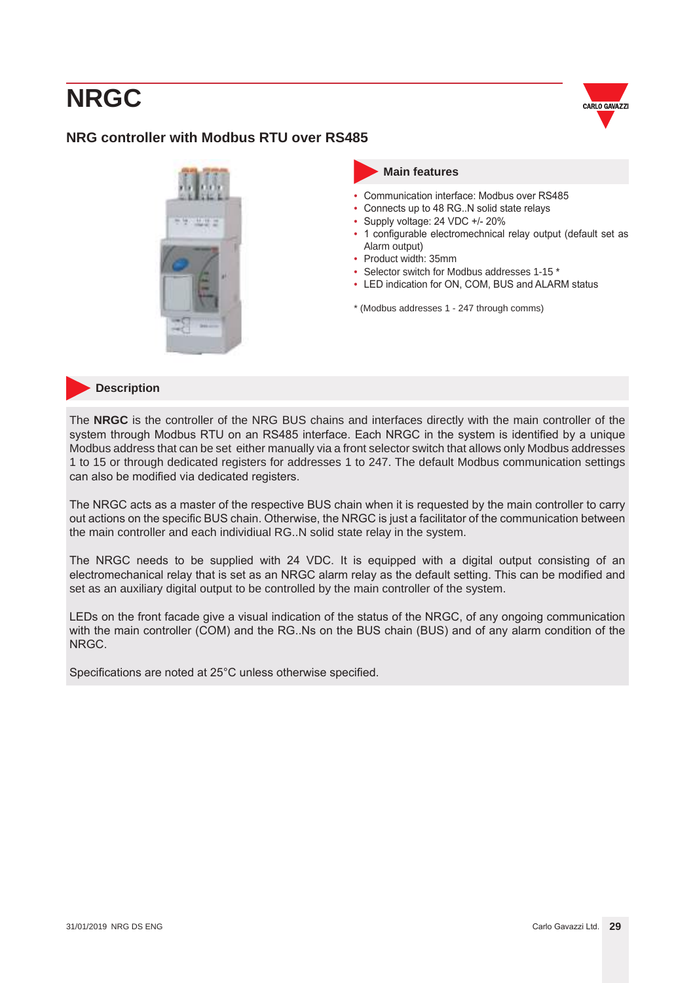

### <span id="page-28-0"></span>**NRG controller with Modbus RTU over RS485**





#### **Description**

The **NRGC** is the controller of the NRG BUS chains and interfaces directly with the main controller of the system through Modbus RTU on an RS485 interface. Each NRGC in the system is identified by a unique Modbus address that can be set either manually via a front selector switch that allows only Modbus addresses 1 to 15 or through dedicated registers for addresses 1 to 247. The default Modbus communication settings can also be modified via dedicated registers.

The NRGC acts as a master of the respective BUS chain when it is requested by the main controller to carry out actions on the specific BUS chain. Otherwise, the NRGC is just a facilitator of the communication between the main controller and each individiual RG..N solid state relay in the system.

The NRGC needs to be supplied with 24 VDC. It is equipped with a digital output consisting of an electromechanical relay that is set as an NRGC alarm relay as the default setting. This can be modified and set as an auxiliary digital output to be controlled by the main controller of the system.

LEDs on the front facade give a visual indication of the status of the NRGC, of any ongoing communication with the main controller (COM) and the RG..Ns on the BUS chain (BUS) and of any alarm condition of the NRGC.

Specifications are noted at 25°C unless otherwise specified.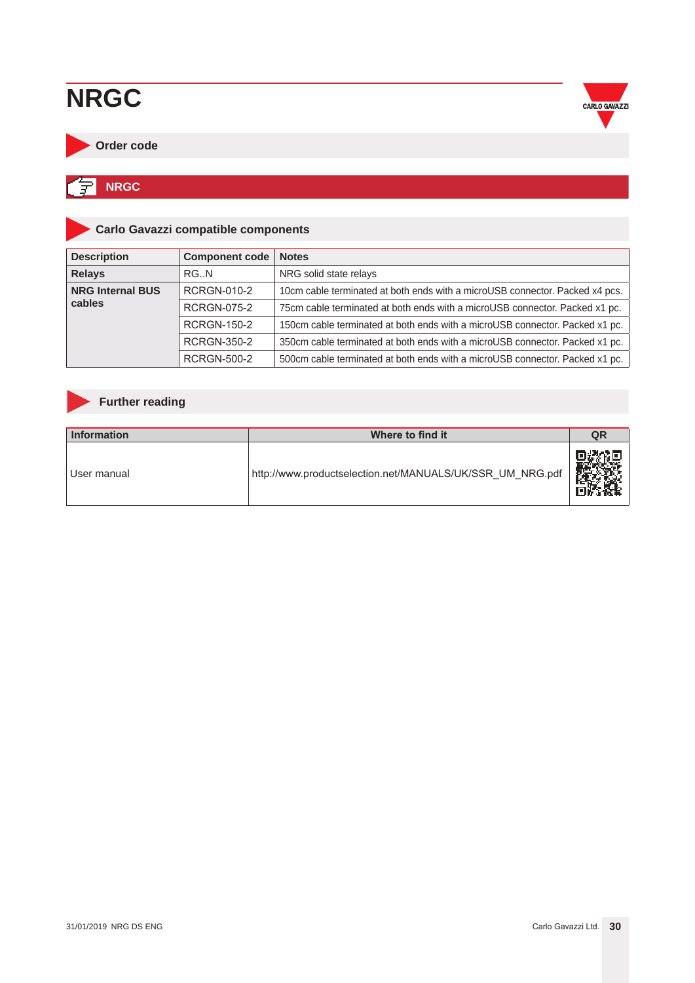

#### <span id="page-29-0"></span>**Order code**

#### 匀 **NRGC**

### **Carlo Gavazzi compatible components**

| <b>Description</b>      | <b>Component code</b> | <b>Notes</b>                                                                 |
|-------------------------|-----------------------|------------------------------------------------------------------------------|
| <b>Relays</b>           | RG.N                  | NRG solid state relays                                                       |
| <b>NRG Internal BUS</b> | <b>RCRGN-010-2</b>    | 10cm cable terminated at both ends with a microUSB connector. Packed x4 pcs. |
| cables                  | <b>RCRGN-075-2</b>    | 75cm cable terminated at both ends with a microUSB connector. Packed x1 pc.  |
|                         | <b>RCRGN-150-2</b>    | 150cm cable terminated at both ends with a microUSB connector. Packed x1 pc. |
|                         | <b>RCRGN-350-2</b>    | 350cm cable terminated at both ends with a microUSB connector. Packed x1 pc. |
|                         | <b>RCRGN-500-2</b>    | 500cm cable terminated at both ends with a microUSB connector. Packed x1 pc. |

### **Further reading**

| Information   | Where to find it                                          | QR |
|---------------|-----------------------------------------------------------|----|
| l User manual | http://www.productselection.net/MANUALS/UK/SSR UM NRG.pdf |    |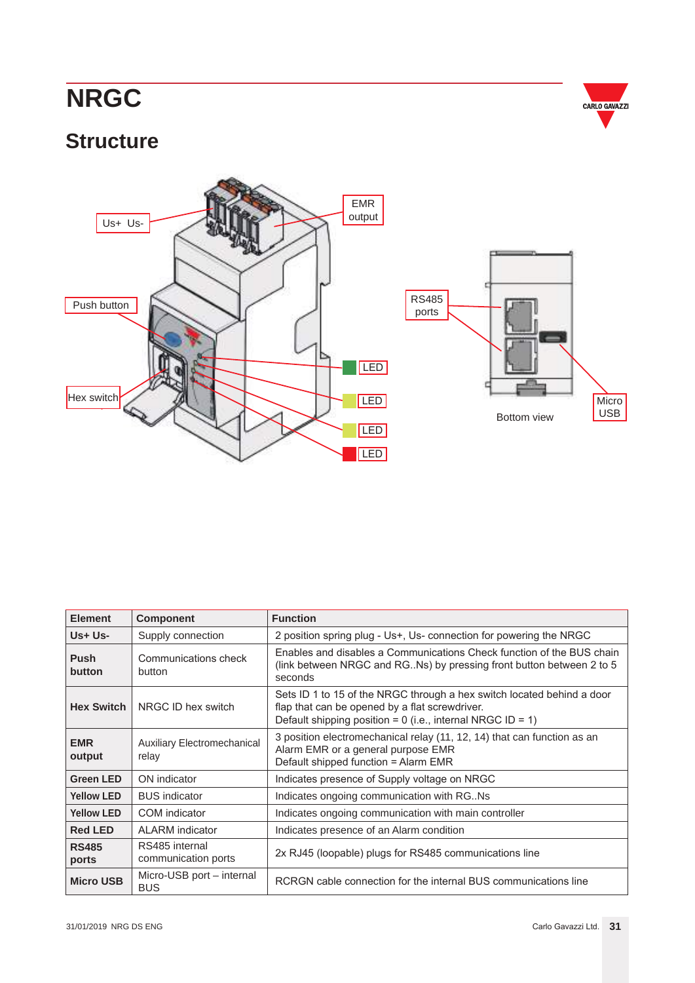

### <span id="page-30-0"></span>**Structure**



| <b>Element</b>        | <b>Component</b>                                                                                           | <b>Function</b>                                                                                                                                                                          |
|-----------------------|------------------------------------------------------------------------------------------------------------|------------------------------------------------------------------------------------------------------------------------------------------------------------------------------------------|
| $Us + Us -$           | Supply connection                                                                                          | 2 position spring plug - Us+, Us- connection for powering the NRGC                                                                                                                       |
| <b>Push</b><br>button | Communications check<br>button                                                                             | Enables and disables a Communications Check function of the BUS chain<br>(link between NRGC and RG. Ns) by pressing front button between 2 to 5<br>seconds                               |
| <b>Hex Switch</b>     | NRGC ID hex switch                                                                                         | Sets ID 1 to 15 of the NRGC through a hex switch located behind a door<br>flap that can be opened by a flat screwdriver.<br>Default shipping position = $0$ (i.e., internal NRGC ID = 1) |
| <b>EMR</b><br>output  | <b>Auxiliary Electromechanical</b><br>relay                                                                | 3 position electromechanical relay (11, 12, 14) that can function as an<br>Alarm EMR or a general purpose EMR<br>Default shipped function = Alarm EMR                                    |
| <b>Green LED</b>      | ON indicator                                                                                               | Indicates presence of Supply voltage on NRGC                                                                                                                                             |
| <b>Yellow LED</b>     | <b>BUS</b> indicator                                                                                       | Indicates ongoing communication with RG. Ns                                                                                                                                              |
| <b>Yellow LED</b>     | COM indicator                                                                                              | Indicates ongoing communication with main controller                                                                                                                                     |
| <b>Red LED</b>        | ALARM indicator                                                                                            | Indicates presence of an Alarm condition                                                                                                                                                 |
| <b>RS485</b><br>ports | RS485 internal<br>2x RJ45 (loopable) plugs for RS485 communications line<br>communication ports            |                                                                                                                                                                                          |
| <b>Micro USB</b>      | Micro-USB port - internal<br>RCRGN cable connection for the internal BUS communications line<br><b>BUS</b> |                                                                                                                                                                                          |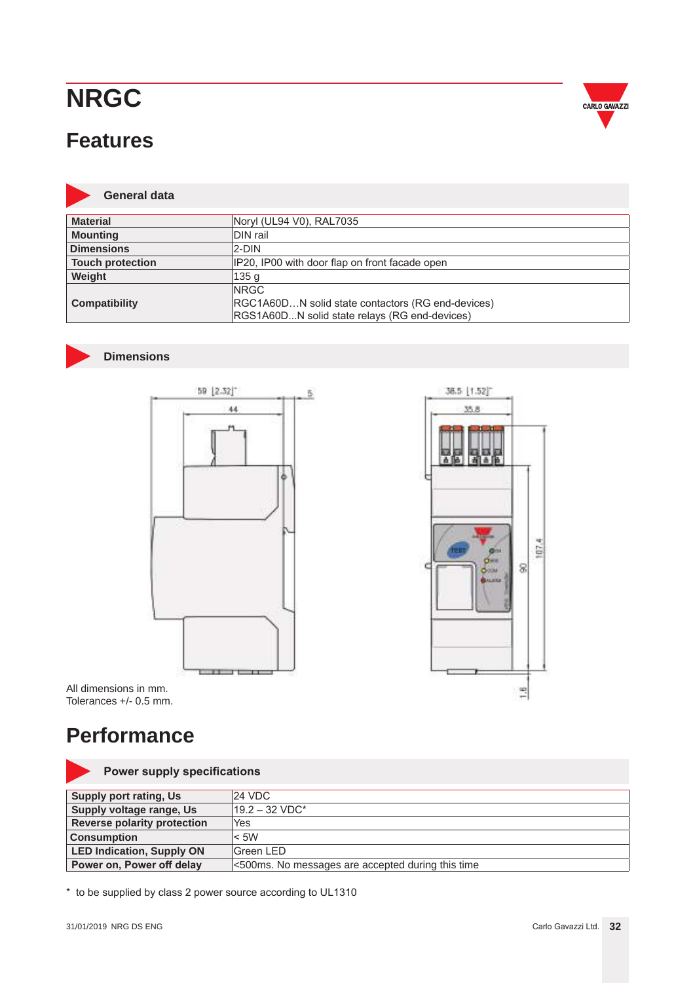### <span id="page-31-0"></span>**Features**



#### **General data**

| <b>Material</b>         | Noryl (UL94 V0), RAL7035                          |
|-------------------------|---------------------------------------------------|
| <b>Mounting</b>         | DIN rail                                          |
| <b>Dimensions</b>       | 2-DIN                                             |
| <b>Touch protection</b> | IP20, IP00 with door flap on front facade open    |
| Weight                  | 135 <sub>g</sub>                                  |
|                         | <b>INRGC</b>                                      |
| <b>Compatibility</b>    | RGC1A60DN solid state contactors (RG end-devices) |
|                         | RGS1A60DN solid state relays (RG end-devices)     |

#### **Dimensions**





All dimensions in mm. Tolerances +/- 0.5 mm.

### **Performance**

#### **Power supply specifications**

| Supply port rating, Us             | 124 VDC.                                          |
|------------------------------------|---------------------------------------------------|
| <b>Supply voltage range, Us</b>    | $19.2 - 32 \text{ VDC}^*$                         |
| <b>Reverse polarity protection</b> | 'Yes                                              |
| <b>Consumption</b>                 | $<$ 5W                                            |
| <b>LED Indication, Supply ON</b>   | lGreen LED                                        |
| Power on, Power off delay          | <500ms. No messages are accepted during this time |

\* to be supplied by class 2 power source according to UL1310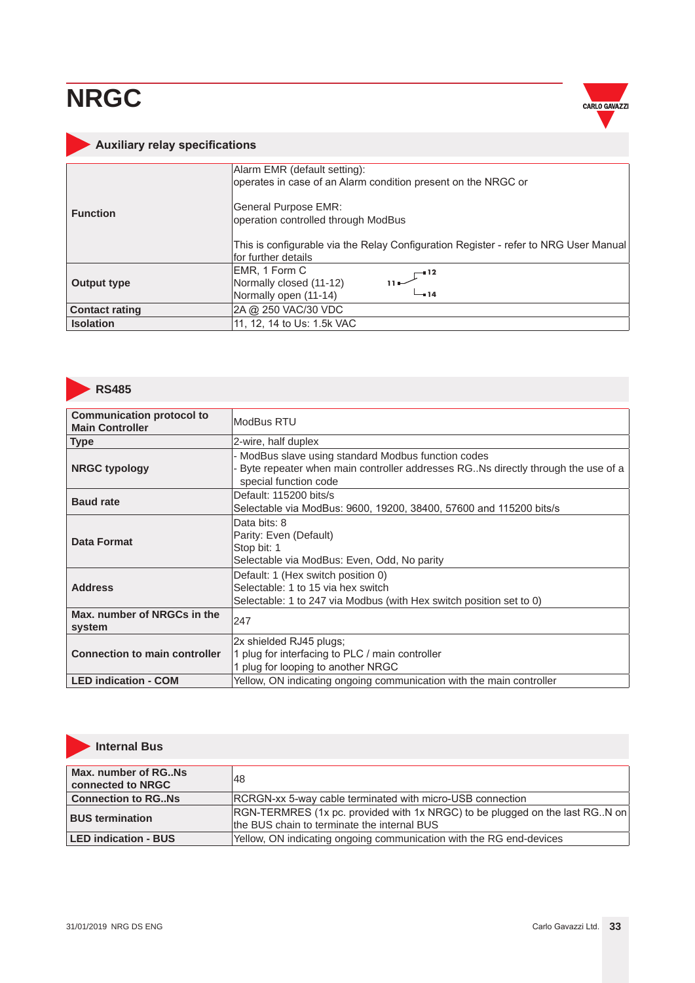

### <span id="page-32-0"></span>**Auxiliary relay specifications**

|                       | Alarm EMR (default setting):<br>operates in case of an Alarm condition present on the NRGC or                 |
|-----------------------|---------------------------------------------------------------------------------------------------------------|
| <b>Function</b>       | General Purpose EMR:<br>operation controlled through ModBus                                                   |
|                       | This is configurable via the Relay Configuration Register - refer to NRG User Manual <br>lfor further details |
| Output type           | EMR, 1 Form C<br>$\Gamma^{-12}$<br>Normally closed (11-12)<br>$-14$<br>Normally open (11-14)                  |
| <b>Contact rating</b> | 2A @ 250 VAC/30 VDC                                                                                           |
| <b>Isolation</b>      | 11, 12, 14 to Us: 1.5k VAC                                                                                    |



| <b>Communication protocol to</b><br><b>Main Controller</b>                                                       | ModBus RTU                                                                                                                                                      |
|------------------------------------------------------------------------------------------------------------------|-----------------------------------------------------------------------------------------------------------------------------------------------------------------|
| <b>Type</b>                                                                                                      | 2-wire, half duplex                                                                                                                                             |
| <b>NRGC typology</b>                                                                                             | ModBus slave using standard Modbus function codes<br>Byte repeater when main controller addresses RG. Ns directly through the use of a<br>special function code |
| Default: 115200 bits/s<br><b>Baud rate</b><br>Selectable via ModBus: 9600, 19200, 38400, 57600 and 115200 bits/s |                                                                                                                                                                 |
| <b>Data Format</b>                                                                                               | Data bits: 8<br>Parity: Even (Default)<br>Stop bit: 1<br>Selectable via ModBus: Even, Odd, No parity                                                            |
| <b>Address</b>                                                                                                   | Default: 1 (Hex switch position 0)<br>Selectable: 1 to 15 via hex switch<br>Selectable: 1 to 247 via Modbus (with Hex switch position set to 0)                 |
| Max, number of NRGCs in the<br>system                                                                            | 247                                                                                                                                                             |
| <b>Connection to main controller</b>                                                                             | 2x shielded RJ45 plugs;<br>1 plug for interfacing to PLC / main controller<br>1 plug for looping to another NRGC                                                |
| <b>LED indication - COM</b>                                                                                      | Yellow, ON indicating ongoing communication with the main controller                                                                                            |



### **Internal Bus**

| Max. number of RGNs<br>connected to NRGC | 48                                                                                                                              |
|------------------------------------------|---------------------------------------------------------------------------------------------------------------------------------|
| <b>Connection to RGNs</b>                | <b>IRCRGN-xx 5-way cable terminated with micro-USB connection</b>                                                               |
| <b>BUS termination</b>                   | $ RGN-TERMRES$ (1x pc. provided with 1x NRGC) to be plugged on the last RG. N on<br>the BUS chain to terminate the internal BUS |
| <b>LED indication - BUS</b>              | Yellow, ON indicating ongoing communication with the RG end-devices                                                             |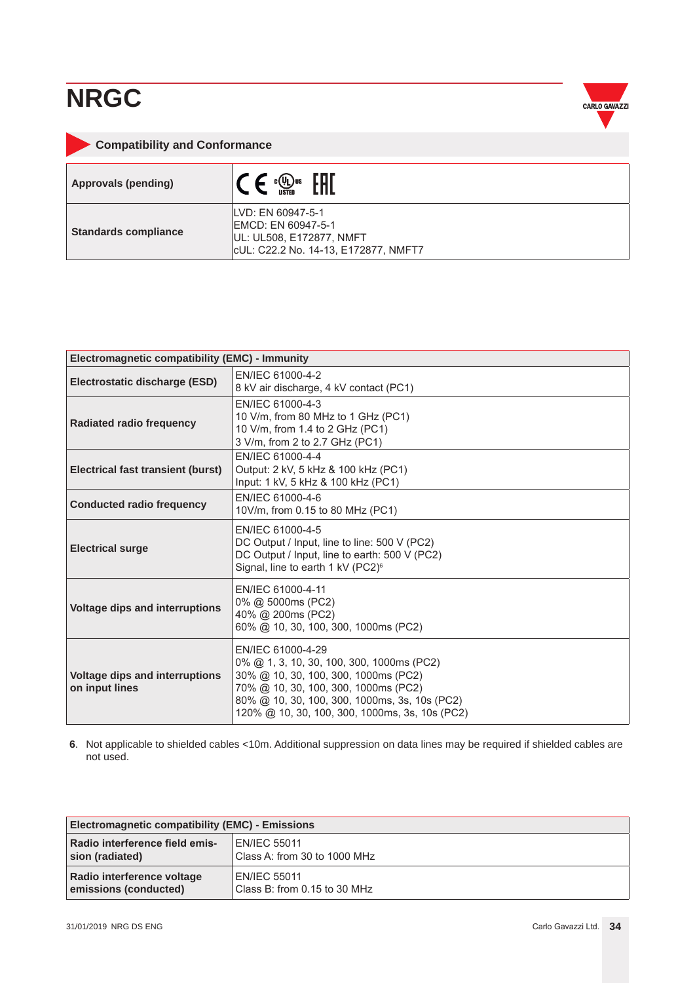

<span id="page-33-0"></span>

| <b>Compatibility and Conformance</b> |                                                                                                              |  |
|--------------------------------------|--------------------------------------------------------------------------------------------------------------|--|
| <b>Approvals (pending)</b>           | $c(U_L)$ us                                                                                                  |  |
| <b>Standards compliance</b>          | ILVD: EN 60947-5-1<br>EMCD: EN 60947-5-1<br>UL: UL508, E172877, NMFT<br>cUL: C22.2 No. 14-13, E172877, NMFT7 |  |

| Electromagnetic compatibility (EMC) - Immunity          |                                                                                                                                                                                                                                                   |  |
|---------------------------------------------------------|---------------------------------------------------------------------------------------------------------------------------------------------------------------------------------------------------------------------------------------------------|--|
| Electrostatic discharge (ESD)                           | EN/IEC 61000-4-2<br>8 kV air discharge, 4 kV contact (PC1)                                                                                                                                                                                        |  |
| <b>Radiated radio frequency</b>                         | FN/IFC 61000-4-3<br>10 V/m, from 80 MHz to 1 GHz (PC1)<br>10 V/m, from 1.4 to 2 GHz (PC1)<br>3 V/m, from 2 to 2.7 GHz (PC1)                                                                                                                       |  |
| Electrical fast transient (burst)                       | EN/IEC 61000-4-4<br>Output: 2 kV, 5 kHz & 100 kHz (PC1)<br>Input: 1 kV, 5 kHz & 100 kHz (PC1)                                                                                                                                                     |  |
| <b>Conducted radio frequency</b>                        | EN/IEC 61000-4-6<br>10V/m, from 0.15 to 80 MHz (PC1)                                                                                                                                                                                              |  |
| <b>Electrical surge</b>                                 | EN/IEC 61000-4-5<br>DC Output / Input, line to line: 500 V (PC2)<br>DC Output / Input, line to earth: 500 V (PC2)<br>Signal, line to earth 1 kV (PC2) <sup>6</sup>                                                                                |  |
| <b>Voltage dips and interruptions</b>                   | EN/IEC 61000-4-11<br>0% @ 5000ms (PC2)<br>40% @ 200ms (PC2)<br>60% @ 10, 30, 100, 300, 1000ms (PC2)                                                                                                                                               |  |
| <b>Voltage dips and interruptions</b><br>on input lines | EN/IEC 61000-4-29<br>0% @ 1, 3, 10, 30, 100, 300, 1000ms (PC2)<br>30% @ 10, 30, 100, 300, 1000ms (PC2)<br>70% @ 10, 30, 100, 300, 1000ms (PC2)<br>80% @ 10, 30, 100, 300, 1000ms, 3s, 10s (PC2)<br>120% @ 10, 30, 100, 300, 1000ms, 3s, 10s (PC2) |  |

**6**. Not applicable to shielded cables <10m. Additional suppression on data lines may be required if shielded cables are not used.

| Electromagnetic compatibility (EMC) - Emissions |                                         |
|-------------------------------------------------|-----------------------------------------|
| Radio interference field emis-                  | <b>EN/IEC 55011</b>                     |
| sion (radiated)                                 | Class A: from 30 to 1000 MHz            |
| Radio interference voltage                      | <b>EN/IEC 55011</b>                     |
| emissions (conducted)                           | Class B: from 0.15 to 30 MHz $^{\circ}$ |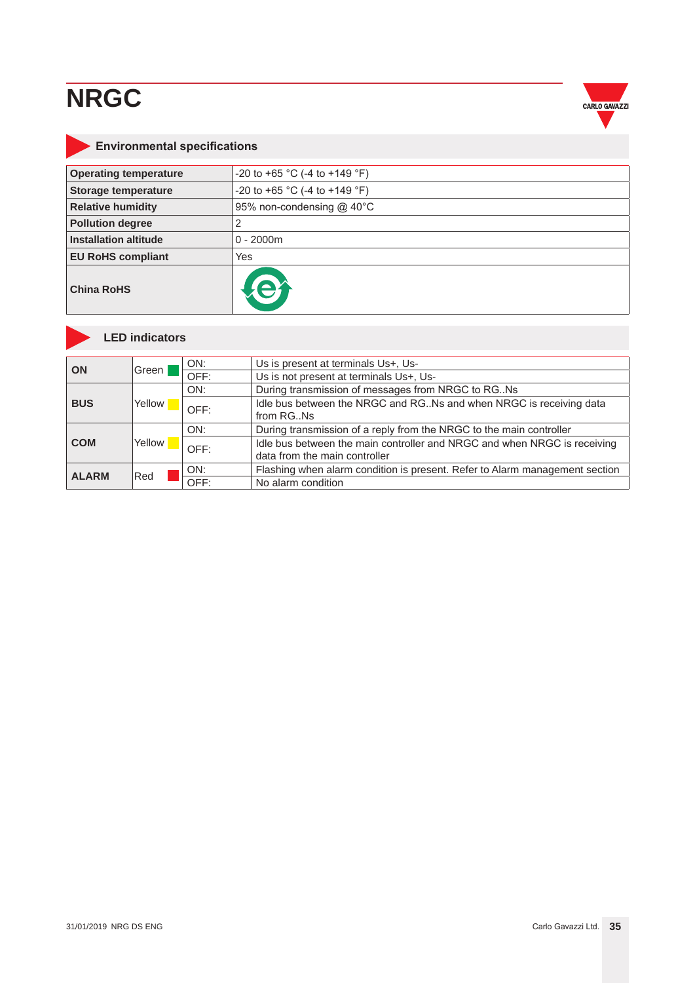

### <span id="page-34-0"></span>**Environmental specifications**

| <b>Operating temperature</b> | -20 to +65 °C (-4 to +149 °F) |
|------------------------------|-------------------------------|
| <b>Storage temperature</b>   | -20 to +65 °C (-4 to +149 °F) |
| <b>Relative humidity</b>     | 95% non-condensing @ 40°C     |
| <b>Pollution degree</b>      | 2                             |
| <b>Installation altitude</b> | $0 - 2000m$                   |
| <b>EU RoHS compliant</b>     | Yes                           |
| <b>China RoHS</b>            |                               |



#### **LED indicators**

| ON           | Green  | ON:  | Us is present at terminals Us+, Us-                                                                       |
|--------------|--------|------|-----------------------------------------------------------------------------------------------------------|
|              |        | OFF: | Us is not present at terminals Us+, Us-                                                                   |
| <b>BUS</b>   |        | ON:  | During transmission of messages from NRGC to RG. Ns                                                       |
|              | Yellow | OFF: | Idle bus between the NRGC and RG. Ns and when NRGC is receiving data<br>from RGNs                         |
| <b>COM</b>   | Yellow | ON:  | During transmission of a reply from the NRGC to the main controller                                       |
|              |        | OFF: | Idle bus between the main controller and NRGC and when NRGC is receiving<br>data from the main controller |
| <b>ALARM</b> | Red    | ON:  | Flashing when alarm condition is present. Refer to Alarm management section                               |
|              |        | OFF  | No alarm condition                                                                                        |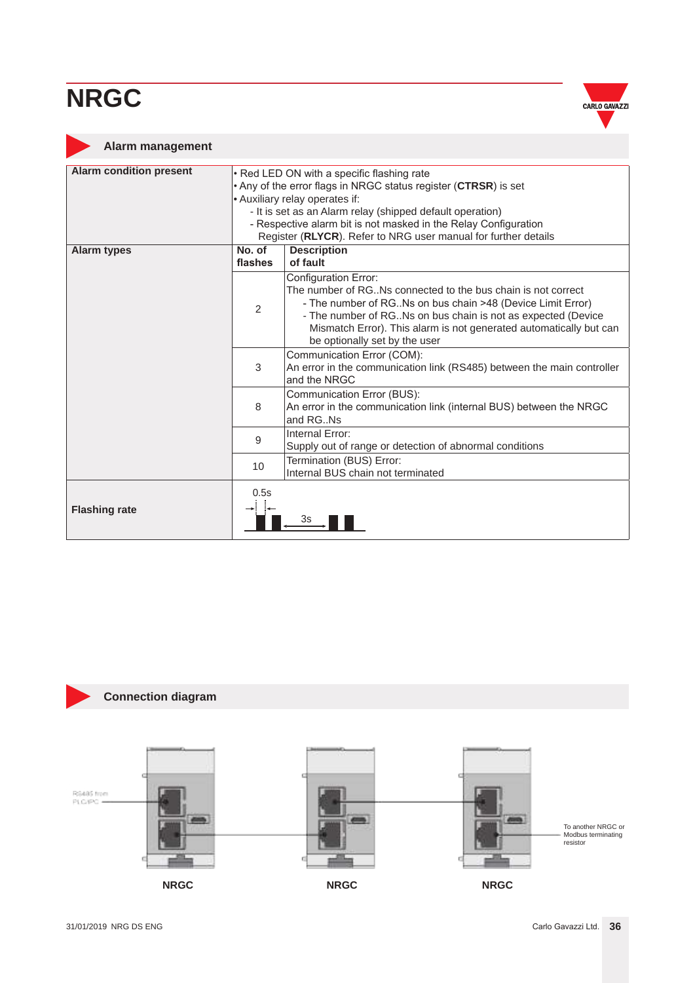

#### <span id="page-35-0"></span>**Alarm management**

| <b>Alarm condition present</b> | • Red LED ON with a specific flashing rate                                                                                                                                                             |                                                                                                                                                                                                                                                                                                                                 |  |  |  |
|--------------------------------|--------------------------------------------------------------------------------------------------------------------------------------------------------------------------------------------------------|---------------------------------------------------------------------------------------------------------------------------------------------------------------------------------------------------------------------------------------------------------------------------------------------------------------------------------|--|--|--|
|                                | . Any of the error flags in NRGC status register (CTRSR) is set                                                                                                                                        |                                                                                                                                                                                                                                                                                                                                 |  |  |  |
|                                | • Auxiliary relay operates if:                                                                                                                                                                         |                                                                                                                                                                                                                                                                                                                                 |  |  |  |
|                                | - It is set as an Alarm relay (shipped default operation)                                                                                                                                              |                                                                                                                                                                                                                                                                                                                                 |  |  |  |
|                                | - Respective alarm bit is not masked in the Relay Configuration                                                                                                                                        |                                                                                                                                                                                                                                                                                                                                 |  |  |  |
|                                | Register (RLYCR). Refer to NRG user manual for further details<br>No. of                                                                                                                               |                                                                                                                                                                                                                                                                                                                                 |  |  |  |
| <b>Alarm types</b>             | flashes                                                                                                                                                                                                | <b>Description</b><br>of fault                                                                                                                                                                                                                                                                                                  |  |  |  |
|                                | $\overline{2}$                                                                                                                                                                                         | Configuration Error:<br>The number of RG. Ns connected to the bus chain is not correct<br>- The number of RG. Ns on bus chain >48 (Device Limit Error)<br>- The number of RG. Ns on bus chain is not as expected (Device<br>Mismatch Error). This alarm is not generated automatically but can<br>be optionally set by the user |  |  |  |
| 3                              |                                                                                                                                                                                                        | Communication Error (COM):<br>An error in the communication link (RS485) between the main controller<br>and the NRGC                                                                                                                                                                                                            |  |  |  |
|                                | Communication Error (BUS):<br>8<br>An error in the communication link (internal BUS) between the NRGC<br>and RG. Ns<br>Internal Error:<br>9<br>Supply out of range or detection of abnormal conditions |                                                                                                                                                                                                                                                                                                                                 |  |  |  |
|                                |                                                                                                                                                                                                        |                                                                                                                                                                                                                                                                                                                                 |  |  |  |
|                                | 10                                                                                                                                                                                                     | Termination (BUS) Error:<br>Internal BUS chain not terminated                                                                                                                                                                                                                                                                   |  |  |  |
| <b>Flashing rate</b>           | 0.5s                                                                                                                                                                                                   | 3s                                                                                                                                                                                                                                                                                                                              |  |  |  |



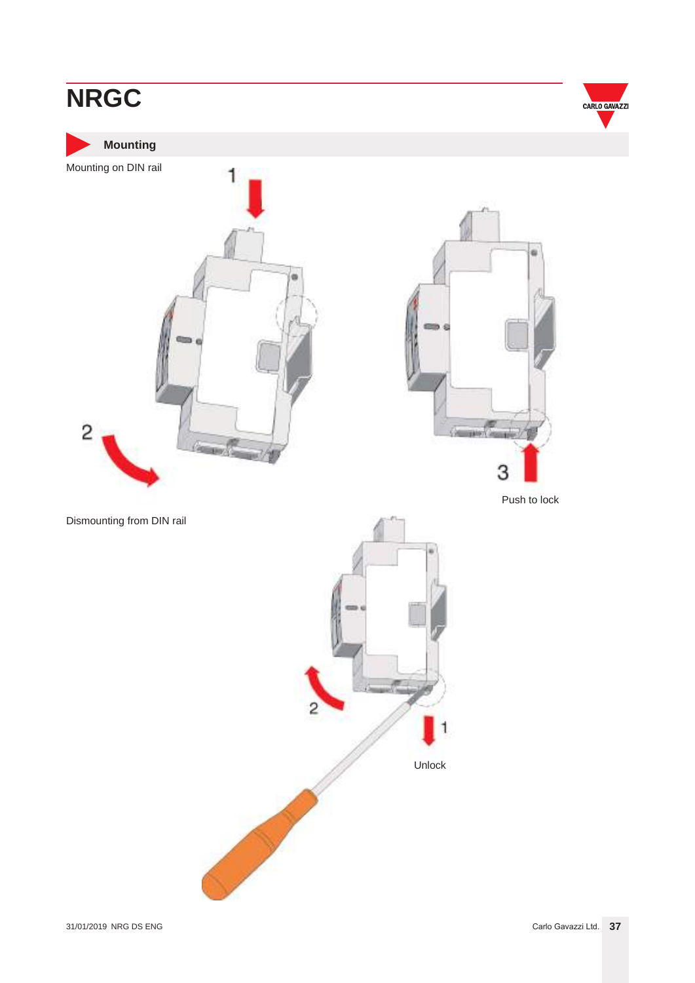<span id="page-36-0"></span>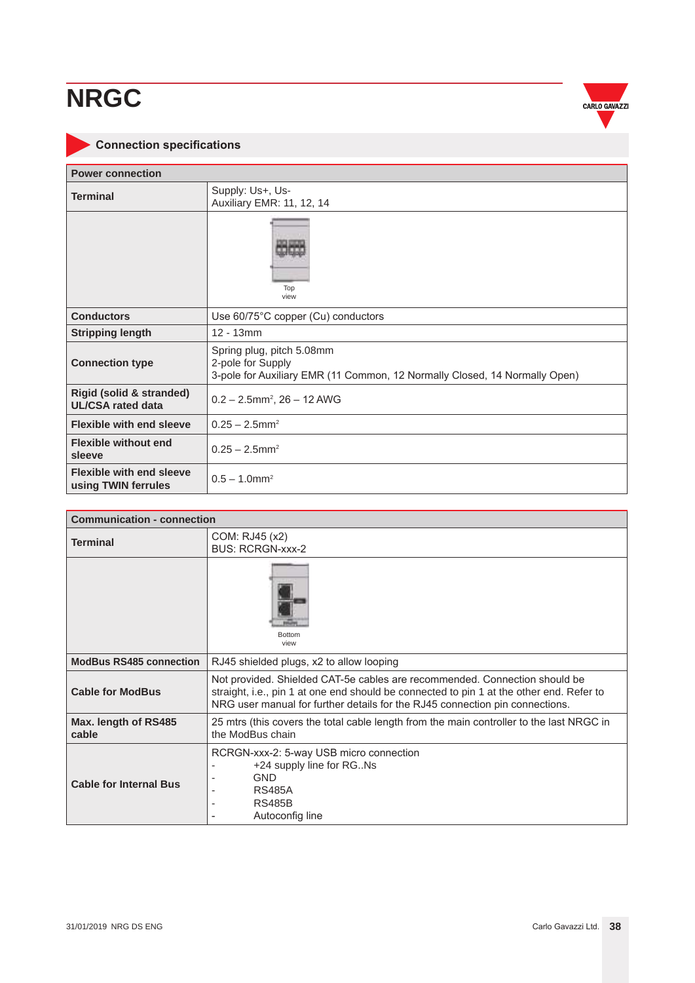## <span id="page-37-0"></span>**NRG NRGC**



### **Connection specifications**

| <b>Power connection</b>                                |                                                                                                                              |  |  |  |
|--------------------------------------------------------|------------------------------------------------------------------------------------------------------------------------------|--|--|--|
| <b>Terminal</b>                                        | Supply: Us+, Us-<br>Auxiliary EMR: 11, 12, 14                                                                                |  |  |  |
|                                                        | Top<br>view                                                                                                                  |  |  |  |
| <b>Conductors</b>                                      | Use 60/75°C copper (Cu) conductors                                                                                           |  |  |  |
| <b>Stripping length</b>                                | $12 - 13$ mm                                                                                                                 |  |  |  |
| <b>Connection type</b>                                 | Spring plug, pitch 5.08mm<br>2-pole for Supply<br>3-pole for Auxiliary EMR (11 Common, 12 Normally Closed, 14 Normally Open) |  |  |  |
| Rigid (solid & stranded)<br><b>UL/CSA rated data</b>   | $0.2 - 2.5$ mm <sup>2</sup> , $26 - 12$ AWG                                                                                  |  |  |  |
| <b>Flexible with end sleeve</b>                        | $0.25 - 2.5$ mm <sup>2</sup>                                                                                                 |  |  |  |
| <b>Flexible without end</b><br>sleeve                  | $0.25 - 2.5$ mm <sup>2</sup>                                                                                                 |  |  |  |
| <b>Flexible with end sleeve</b><br>using TWIN ferrules | $0.5 - 1.0$ mm <sup>2</sup>                                                                                                  |  |  |  |

| <b>Communication - connection</b> |                                                                                                                                                                                                                                                        |  |  |  |
|-----------------------------------|--------------------------------------------------------------------------------------------------------------------------------------------------------------------------------------------------------------------------------------------------------|--|--|--|
| <b>Terminal</b>                   | COM: RJ45 (x2)<br><b>BUS: RCRGN-xxx-2</b>                                                                                                                                                                                                              |  |  |  |
|                                   | <b>Bottom</b><br>view                                                                                                                                                                                                                                  |  |  |  |
| <b>ModBus RS485 connection</b>    | RJ45 shielded plugs, x2 to allow looping                                                                                                                                                                                                               |  |  |  |
| <b>Cable for ModBus</b>           | Not provided. Shielded CAT-5e cables are recommended. Connection should be<br>straight, i.e., pin 1 at one end should be connected to pin 1 at the other end. Refer to<br>NRG user manual for further details for the RJ45 connection pin connections. |  |  |  |
| Max. length of RS485<br>cable     | 25 mtrs (this covers the total cable length from the main controller to the last NRGC in<br>the ModBus chain                                                                                                                                           |  |  |  |
| <b>Cable for Internal Bus</b>     | RCRGN-xxx-2: 5-way USB micro connection<br>+24 supply line for RGNs<br><b>GND</b><br><b>RS485A</b><br><b>RS485B</b><br>Autoconfig line                                                                                                                 |  |  |  |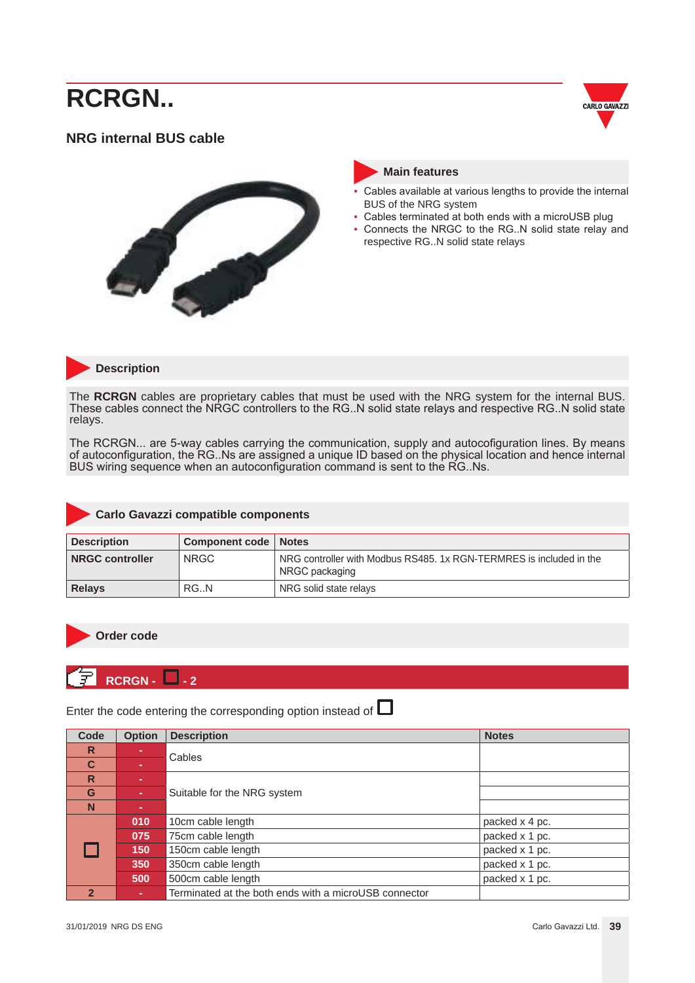## <span id="page-38-0"></span>**NRG RCRGN..**









- Cables available at various lengths to provide the internal BUS of the NRG system
- Cables terminated at both ends with a microUSB plug
- Connects the NRGC to the RG..N solid state relay and respective RG..N solid state relays



#### **Description**

The **RCRGN** cables are proprietary cables that must be used with the NRG system for the internal BUS. These cables connect the NRGC controllers to the RG..N solid state relays and respective RG..N solid state relays.

The RCRGN... are 5-way cables carrying the communication, supply and autocofiguration lines. By means of autoconfiguration, the RG..Ns are assigned a unique ID based on the physical location and hence internal BUS wiring sequence when an autoconfiguration command is sent to the RG..Ns.

#### **Carlo Gavazzi compatible components**

| <b>Description</b>     | Component code   Notes |                                                                                       |  |
|------------------------|------------------------|---------------------------------------------------------------------------------------|--|
| <b>NRGC controller</b> | <b>NRGC</b>            | NRG controller with Modbus RS485, 1x RGN-TERMRES is included in the<br>NRGC packaging |  |
| <b>Relays</b>          | RG.N                   | NRG solid state relays                                                                |  |



#### **Order code**

### **RCRGN - 4** - 2

Enter the code entering the corresponding option instead of  $\Box$ 

| Code                    | <b>Option</b> | <b>Description</b>                                    | <b>Notes</b>   |
|-------------------------|---------------|-------------------------------------------------------|----------------|
| R                       |               | Cables                                                |                |
| C                       |               |                                                       |                |
| $\overline{\mathsf{R}}$ |               |                                                       |                |
| G                       | ×.            | Suitable for the NRG system                           |                |
| N                       |               |                                                       |                |
|                         | 010           | 10cm cable length                                     | packed x 4 pc. |
|                         | 075           | 75cm cable length                                     | packed x 1 pc. |
|                         | 150           | 150cm cable length                                    | packed x 1 pc. |
|                         | 350           | 350cm cable length                                    | packed x 1 pc. |
|                         | 500           | 500cm cable length                                    | packed x 1 pc. |
| $\overline{2}$          | ×.            | Terminated at the both ends with a microUSB connector |                |